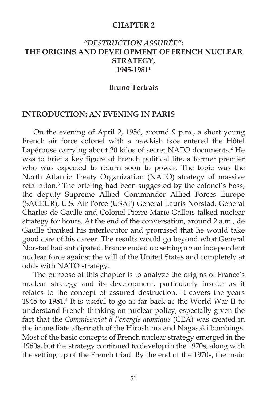#### **CHAPTER 2**

# *"DESTRUCTION ASSURÉE"***: THE ORIGINS AND DEVELOPMENT OF FRENCH NUCLEAR STRATEGY, 1945-19811**

#### **Bruno Tertrais**

#### **INTRODUCTION: AN EVENING IN PARIS**

 On the evening of April 2, 1956, around 9 p.m., a short young French air force colonel with a hawkish face entered the Hôtel Lapérouse carrying about 20 kilos of secret NATO documents.<sup>2</sup> He was to brief a key figure of French political life, a former premier who was expected to return soon to power. The topic was the North Atlantic Treaty Organization (NATO) strategy of massive retaliation.<sup>3</sup> The briefing had been suggested by the colonel's boss, the deputy Supreme Allied Commander Allied Forces Europe (SACEUR), U.S. Air Force (USAF) General Lauris Norstad. General Charles de Gaulle and Colonel Pierre-Marie Gallois talked nuclear strategy for hours. At the end of the conversation, around 2 a.m., de Gaulle thanked his interlocutor and promised that he would take good care of his career. The results would go beyond what General Norstad had anticipated. France ended up setting up an independent nuclear force against the will of the United States and completely at odds with NATO strategy.

 The purpose of this chapter is to analyze the origins of France's nuclear strategy and its development, particularly insofar as it relates to the concept of assured destruction. It covers the years 1945 to 1981.<sup>4</sup> It is useful to go as far back as the World War II to understand French thinking on nuclear policy, especially given the fact that the *Commissariat à l'énergie atomique* (CEA) was created in the immediate aftermath of the Hiroshima and Nagasaki bombings. Most of the basic concepts of French nuclear strategy emerged in the 1960s, but the strategy continued to develop in the 1970s, along with the setting up of the French triad. By the end of the 1970s, the main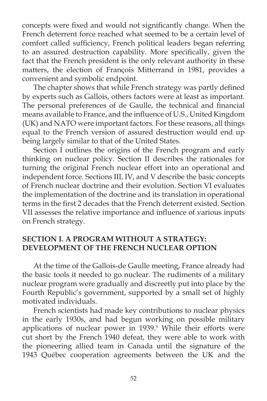concepts were fixed and would not significantly change. When the French deterrent force reached what seemed to be a certain level of comfort called sufficiency, French political leaders began referring to an assured destruction capability. More specifically, given the fact that the French president is the only relevant authority in these matters, the election of François Mitterrand in 1981, provides a convenient and symbolic endpoint.

The chapter shows that while French strategy was partly defined by experts such as Gallois, others factors were at least as important. The personal preferences of de Gaulle, the technical and financial means available to France, and the influence of U.S., United Kingdom (UK) and NATO were important factors. For these reasons, all things equal to the French version of assured destruction would end up being largely similar to that of the United States.

 Section I outlines the origins of the French program and early thinking on nuclear policy. Section II describes the rationales for turning the original French nuclear effort into an operational and independent force. Sections III, IV, and V describe the basic concepts of French nuclear doctrine and their evolution. Section VI evaluates the implementation of the doctrine and its translation in operational terms in the first 2 decades that the French deterrent existed. Section VII assesses the relative importance and influence of various inputs on French strategy.

# **SECTION I. A PROGRAM WITHOUT A STRATEGY: DEVELOPMENT OF THE FRENCH NUCLEAR OPTION**

 At the time of the Gallois-de Gaulle meeting, France already had the basic tools it needed to go nuclear. The rudiments of a military nuclear program were gradually and discreetly put into place by the Fourth Republic's government, supported by a small set of highly motivated individuals.

 French scientists had made key contributions to nuclear physics in the early 1930s, and had begun working on possible military applications of nuclear power in 1939.<sup>5</sup> While their efforts were cut short by the French 1940 defeat, they were able to work with the pioneering allied team in Canada until the signature of the 1943 Québec cooperation agreements between the UK and the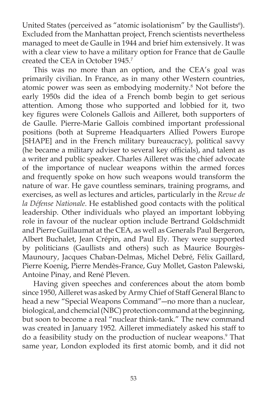United States (perceived as "atomic isolationism" by the Gaullists $\delta$ ). Excluded from the Manhattan project, French scientists nevertheless managed to meet de Gaulle in 1944 and brief him extensively. It was with a clear view to have a military option for France that de Gaulle created the CEA in October 1945.7

 This was no more than an option, and the CEA's goal was primarily civilian. In France, as in many other Western countries, atomic power was seen as embodying modernity.8 Not before the early 1950s did the idea of a French bomb begin to get serious attention. Among those who supported and lobbied for it, two key figures were Colonels Gallois and Ailleret, both supporters of de Gaulle. Pierre-Marie Gallois combined important professional positions (both at Supreme Headquarters Allied Powers Europe [SHAPE] and in the French military bureaucracy), political savvy (he became a military adviser to several key officials), and talent as a writer and public speaker. Charles Ailleret was the chief advocate of the importance of nuclear weapons within the armed forces and frequently spoke on how such weapons would transform the nature of war. He gave countless seminars, training programs, and exercises, as well as lectures and articles, particularly in the *Revue de la Défense Nationale*. He established good contacts with the political leadership. Other individuals who played an important lobbying role in favour of the nuclear option include Bertrand Goldschmidt and Pierre Guillaumat at the CEA, as well as Generals Paul Bergeron, Albert Buchalet, Jean Crépin, and Paul Ely. They were supported by politicians (Gaullists and others) such as Maurice Bourgès-Maunoury, Jacques Chaban-Delmas, Michel Debré, Félix Gaillard, Pierre Koenig, Pierre Mendès-France, Guy Mollet, Gaston Palewski, Antoine Pinay, and René Pleven.

 Having given speeches and conferences about the atom bomb since 1950, Ailleret was asked by Army Chief of Staff General Blanc to head a new "Special Weapons Command"―no more than a nuclear, biological, and chemcial (NBC) protection command at the beginning, but soon to become a real "nuclear think-tank." The new command was created in January 1952. Ailleret immediately asked his staff to do a feasibility study on the production of nuclear weapons.9 That same year, London exploded its first atomic bomb, and it did not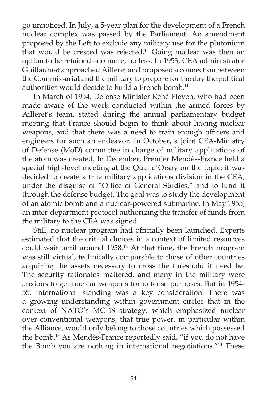go unnoticed. In July, a 5-year plan for the development of a French nuclear complex was passed by the Parliament. An amendment proposed by the Left to exclude any military use for the plutonium that would be created was rejected.<sup>10</sup> Going nuclear was then an option to be retained―no more, no less. In 1953, CEA administrator Guillaumat approached Ailleret and proposed a connection between the Commissariat and the military to prepare for the day the political authorities would decide to build a French bomb.<sup>11</sup>

 In March of 1954, Defense Minister René Pleven, who had been made aware of the work conducted within the armed forces by Ailleret's team, stated during the annual parliamentary budget meeting that France should begin to think about having nuclear weapons, and that there was a need to train enough officers and engineers for such an endeavor. In October, a joint CEA-Ministry of Defense (MoD) committee in charge of military applications of the atom was created. In December, Premier Mendès-France held a special high-level meeting at the Quai d'Orsay on the topic; it was decided to create a true military applications division in the CEA, under the disguise of "Office of General Studies," and to fund it through the defense budget. The goal was to study the development of an atomic bomb and a nuclear-powered submarine. In May 1955, an inter-department protocol authorizing the transfer of funds from the military to the CEA was signed.

Still, no nuclear program had officially been launched. Experts estimated that the critical choices in a context of limited resources could wait until around 1958.12 At that time, the French program was still virtual, technically comparable to those of other countries acquiring the assets necessary to cross the threshold if need be. The security rationales mattered, and many in the military were anxious to get nuclear weapons for defense purposes. But in 1954- 55, international standing was a key consideration. There was a growing understanding within government circles that in the context of NATO's MC-48 strategy, which emphasized nuclear over conventional weapons, that true power, in particular within the Alliance, would only belong to those countries which possessed the bomb.13 As Mendès-France reportedly said, "if you do not have the Bomb you are nothing in international negotiations."14 These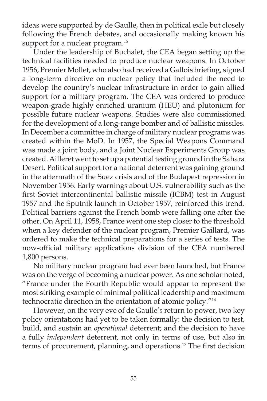ideas were supported by de Gaulle, then in political exile but closely following the French debates, and occasionally making known his support for a nuclear program.<sup>15</sup>

 Under the leadership of Buchalet, the CEA began setting up the technical facilities needed to produce nuclear weapons. In October 1956, Premier Mollet, who also had received a Gallois briefing, signed a long-term directive on nuclear policy that included the need to develop the country's nuclear infrastructure in order to gain allied support for a military program. The CEA was ordered to produce weapon-grade highly enriched uranium (HEU) and plutonium for possible future nuclear weapons. Studies were also commissioned for the development of a long-range bomber and of ballistic missiles. In December a committee in charge of military nuclear programs was created within the MoD. In 1957, the Special Weapons Command was made a joint body, and a Joint Nuclear Experiments Group was created. Ailleret went to set up a potential testing ground in the Sahara Desert. Political support for a national deterrent was gaining ground in the aftermath of the Suez crisis and of the Budapest repression in November 1956. Early warnings about U.S. vulnerability such as the first Soviet intercontinental ballistic missile (ICBM) test in August 1957 and the Sputnik launch in October 1957, reinforced this trend. Political barriers against the French bomb were falling one after the other. On April 11, 1958, France went one step closer to the threshold when a key defender of the nuclear program, Premier Gaillard, was ordered to make the technical preparations for a series of tests. The now-official military applications division of the CEA numbered 1,800 persons.

 No military nuclear program had ever been launched, but France was on the verge of becoming a nuclear power. As one scholar noted, "France under the Fourth Republic would appear to represent the most striking example of minimal political leadership and maximum technocratic direction in the orientation of atomic policy."16

 However, on the very eve of de Gaulle's return to power, two key policy orientations had yet to be taken formally: the decision to test, build, and sustain an *operational* deterrent; and the decision to have a fully *independent* deterrent, not only in terms of use, but also in terms of procurement, planning, and operations.<sup>17</sup> The first decision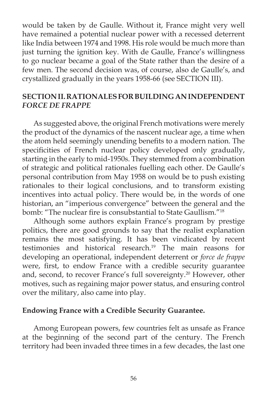would be taken by de Gaulle. Without it, France might very well have remained a potential nuclear power with a recessed deterrent like India between 1974 and 1998. His role would be much more than just turning the ignition key. With de Gaulle, France's willingness to go nuclear became a goal of the State rather than the desire of a few men. The second decision was, of course, also de Gaulle's, and crystallized gradually in the years 1958-66 (see SECTION III).

## **SECTION II. RATIONALES FOR BUILDING AN INDEPENDENT**  *FORCE DE FRAPPE*

 As suggested above, the original French motivations were merely the product of the dynamics of the nascent nuclear age, a time when the atom held seemingly unending benefits to a modern nation. The specificities of French nuclear policy developed only gradually, starting in the early to mid-1950s. They stemmed from a combination of strategic and political rationales fuelling each other. De Gaulle's personal contribution from May 1958 on would be to push existing rationales to their logical conclusions, and to transform existing incentives into actual policy. There would be, in the words of one historian, an "imperious convergence" between the general and the bomb: "The nuclear fire is consubstantial to State Gaullism."<sup>18</sup>

 Although some authors explain France's program by prestige politics, there are good grounds to say that the realist explanation remains the most satisfying. It has been vindicated by recent testimonies and historical research.19 The main reasons for developing an operational, independent deterrent or *force de frappe* were, first, to endow France with a credible security guarantee and, second, to recover France's full sovereignty.<sup>20</sup> However, other motives, such as regaining major power status, and ensuring control over the military, also came into play.

#### **Endowing France with a Credible Security Guarantee.**

 Among European powers, few countries felt as unsafe as France at the beginning of the second part of the century. The French territory had been invaded three times in a few decades, the last one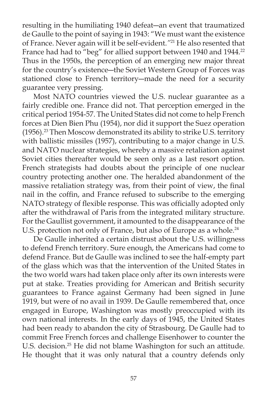resulting in the humiliating 1940 defeat―an event that traumatized de Gaulle to the point of saying in 1943: "We must want the existence of France. Never again will it be self-evident.*"*21 He also resented that France had had to "beg" for allied support between 1940 and 1944.<sup>22</sup> Thus in the 1950s, the perception of an emerging new major threat for the country's existence―the Soviet Western Group of Forces was stationed close to French territory―made the need for a security guarantee very pressing.

 Most NATO countries viewed the U.S. nuclear guarantee as a fairly credible one. France did not. That perception emerged in the critical period 1954-57. The United States did not come to help French forces at Dien Bien Phu (1954), nor did it support the Suez operation (1956).23 Then Moscow demonstrated its ability to strike U.S. territory with ballistic missiles (1957), contributing to a major change in U.S. and NATO nuclear strategies, whereby a massive retaliation against Soviet cities thereafter would be seen only as a last resort option. French strategists had doubts about the principle of one nuclear country protecting another one. The heralded abandonment of the massive retaliation strategy was, from their point of view, the final nail in the coffin, and France refused to subscribe to the emerging NATO strategy of flexible response. This was officially adopted only after the withdrawal of Paris from the integrated military structure. For the Gaullist government, it amounted to the disappearance of the U.S. protection not only of France, but also of Europe as a whole.<sup>24</sup>

 De Gaulle inherited a certain distrust about the U.S. willingness to defend French territory. Sure enough, the Americans had come to defend France. But de Gaulle was inclined to see the half-empty part of the glass which was that the intervention of the United States in the two world wars had taken place only after its own interests were put at stake. Treaties providing for American and British security guarantees to France against Germany had been signed in June 1919, but were of no avail in 1939. De Gaulle remembered that, once engaged in Europe, Washington was mostly preoccupied with its own national interests. In the early days of 1945, the United States had been ready to abandon the city of Strasbourg. De Gaulle had to commit Free French forces and challenge Eisenhower to counter the U.S. decision.<sup>25</sup> He did not blame Washington for such an attitude. He thought that it was only natural that a country defends only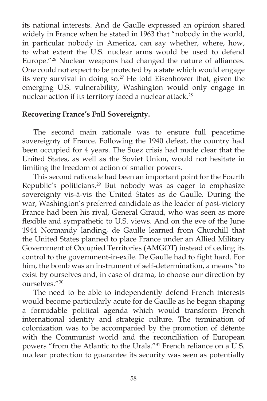its national interests. And de Gaulle expressed an opinion shared widely in France when he stated in 1963 that "nobody in the world, in particular nobody in America, can say whether, where, how, to what extent the U.S. nuclear arms would be used to defend Europe."26 Nuclear weapons had changed the nature of alliances. One could not expect to be protected by a state which would engage its very survival in doing so. $27$  He told Eisenhower that, given the emerging U.S. vulnerability, Washington would only engage in nuclear action if its territory faced a nuclear attack.<sup>28</sup>

# **Recovering France's Full Sovereignty.**

 The second main rationale was to ensure full peacetime sovereignty of France. Following the 1940 defeat, the country had been occupied for 4 years. The Suez crisis had made clear that the United States, as well as the Soviet Union, would not hesitate in limiting the freedom of action of smaller powers.

 This second rationale had been an important point for the Fourth Republic's politicians.<sup>29</sup> But nobody was as eager to emphasize sovereignty vis-à-vis the United States as de Gaulle. During the war, Washington's preferred candidate as the leader of post-victory France had been his rival, General Giraud, who was seen as more flexible and sympathetic to U.S. views. And on the eve of the June 1944 Normandy landing, de Gaulle learned from Churchill that the United States planned to place France under an Allied Military Government of Occupied Territories (AMGOT) instead of ceding its control to the government-in-exile. De Gaulle had to fight hard. For him, the bomb was an instrument of self-determination, a means "to exist by ourselves and, in case of drama, to choose our direction by ourselves."30

 The need to be able to independently defend French interests would become particularly acute for de Gaulle as he began shaping a formidable political agenda which would transform French international identity and strategic culture. The termination of colonization was to be accompanied by the promotion of détente with the Communist world and the reconciliation of European powers "from the Atlantic to the Urals."31 French reliance on a U.S. nuclear protection to guarantee its security was seen as potentially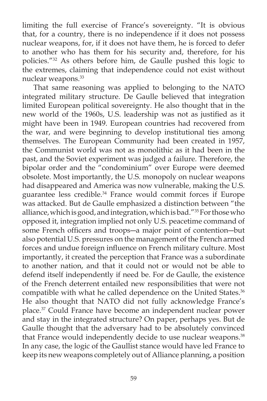limiting the full exercise of France's sovereignty. "It is obvious that, for a country, there is no independence if it does not possess nuclear weapons, for, if it does not have them, he is forced to defer to another who has them for his security and, therefore, for his policies."32 As others before him, de Gaulle pushed this logic to the extremes, claiming that independence could not exist without nuclear weapons.<sup>33</sup>

That same reasoning was applied to belonging to the NATO integrated military structure. De Gaulle believed that integration limited European political sovereignty. He also thought that in the new world of the 1960s, U.S. leadership was not as justified as it might have been in 1949. European countries had recovered from the war, and were beginning to develop institutional ties among themselves. The European Community had been created in 1957, the Communist world was not as monolithic as it had been in the past, and the Soviet experiment was judged a failure. Therefore, the bipolar order and the "condominium" over Europe were deemed obsolete. Most importantly, the U.S. monopoly on nuclear weapons had disappeared and America was now vulnerable, making the U.S. guarantee less credible.34 France would commit forces if Europe was attacked. But de Gaulle emphasized a distinction between "the alliance, which is good, and integration, which is bad."<sup>35</sup> For those who opposed it, integration implied not only U.S. peacetime command of some French officers and troops—a major point of contention—but also potential U.S. pressures on the management of the French armed forces and undue foreign influence on French military culture. Most importantly, it created the perception that France was a subordinate to another nation, and that it could not or would not be able to defend itself independently if need be. For de Gaulle, the existence of the French deterrent entailed new responsibilities that were not compatible with what he called dependence on the United States.<sup>36</sup> He also thought that NATO did not fully acknowledge France's place.37 Could France have become an independent nuclear power and stay in the integrated structure? On paper, perhaps yes. But de Gaulle thought that the adversary had to be absolutely convinced that France would independently decide to use nuclear weapons.<sup>38</sup> In any case, the logic of the Gaullist stance would have led France to keep its new weapons completely out of Alliance planning, a position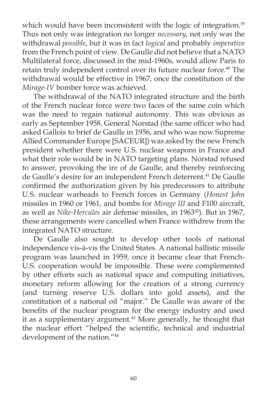which would have been inconsistent with the logic of integration.<sup>39</sup> Thus not only was integration no longer *necessary*, not only was the withdrawal *possible*, but it was in fact *logical* and probably *imperative* from the French point of view. De Gaulle did not believe that a NATO Multilateral force, discussed in the mid-1960s, would allow Paris to retain truly independent control over its future nuclear force.<sup>40</sup> The withdrawal would be effective in 1967, once the constitution of the *Mirage-IV* bomber force was achieved.

 The withdrawal of the NATO integrated structure and the birth of the French nuclear force were two faces of the same coin which was the need to regain national autonomy. This was obvious as early as September 1958. General Norstad (the same officer who had asked Gallois to brief de Gaulle in 1956, and who was now Supreme Allied Commander Europe [SACEUR]) was asked by the new French president whether there were U.S. nuclear weapons in France and what their role would be in NATO targeting plans. Norstad refused to answer, provoking the ire of de Gaulle, and thereby reinforcing de Gaulle's desire for an independent French deterrent.<sup>41</sup> De Gaulle confirmed the authorization given by his predecessors to attribute U.S. nuclear warheads to French forces in Germany (*Honest John*  missiles in 1960 or 1961, and bombs for *Mirage III* and F100 aircraft, as well as *Nike-Hercules* air defense missiles, in 196342). But in 1967, these arrangements were cancelled when France withdrew from the integrated NATO structure.

 De Gaulle also sought to develop other tools of national independence vis-à-vis the United States. A national ballistic missile program was launched in 1959, once it became clear that French-U.S. cooperation would be impossible. These were complemented by other efforts such as national space and computing initiatives, monetary reform allowing for the creation of a strong currency (and turning reserve U.S. dollars into gold assets), and the constitution of a national oil "major." De Gaulle was aware of the benefits of the nuclear program for the energy industry and used it as a supplementary argument.<sup>43</sup> More generally, he thought that the nuclear effort "helped the scientific, technical and industrial development of the nation."44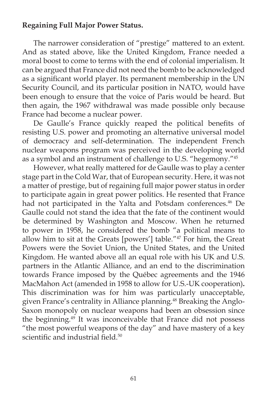## **Regaining Full Major Power Status.**

 The narrower consideration of "prestige" mattered to an extent. And as stated above, like the United Kingdom, France needed a moral boost to come to terms with the end of colonial imperialism. It can be argued that France did not need the bomb to be acknowledged as a significant world player. Its permanent membership in the UN Security Council, and its particular position in NATO, would have been enough to ensure that the voice of Paris would be heard. But then again, the 1967 withdrawal was made possible only because France had become a nuclear power.

De Gaulle's France quickly reaped the political benefits of resisting U.S. power and promoting an alternative universal model of democracy and self-determination. The independent French nuclear weapons program was perceived in the developing world as a symbol and an instrument of challenge to U.S. "hegemony."45

 However, what really mattered for de Gaulle was to play a center stage part in the Cold War, that of European security. Here, it was not a matter of prestige, but of regaining full major power status in order to participate again in great power politics. He resented that France had not participated in the Yalta and Potsdam conferences.<sup>46</sup> De Gaulle could not stand the idea that the fate of the continent would be determined by Washington and Moscow. When he returned to power in 1958, he considered the bomb "a political means to allow him to sit at the Greats [powers'] table."47 For him, the Great Powers were the Soviet Union, the United States, and the United Kingdom. He wanted above all an equal role with his UK and U.S. partners in the Atlantic Alliance, and an end to the discrimination towards France imposed by the Québec agreements and the 1946 MacMahon Act (amended in 1958 to allow for U.S.-UK cooperation)**.**  This discrimination was for him was particularly unacceptable, given France's centrality in Alliance planning.<sup>48</sup> Breaking the Anglo-Saxon monopoly on nuclear weapons had been an obsession since the beginning.<sup>49</sup> It was inconceivable that France did not possess "the most powerful weapons of the day" and have mastery of a key scientific and industrial field.<sup>50</sup>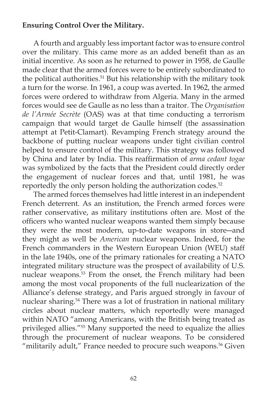## **Ensuring Control Over the Military.**

 A fourth and arguably less important factor was to ensure control over the military. This came more as an added benefit than as an initial incentive. As soon as he returned to power in 1958, de Gaulle made clear that the armed forces were to be entirely subordinated to the political authorities.<sup>51</sup> But his relationship with the military took a turn for the worse. In 1961, a coup was averted. In 1962, the armed forces were ordered to withdraw from Algeria. Many in the armed forces would see de Gaulle as no less than a traitor. The *Organisation de l'Armée Secrète* (OAS) was at that time conducting a terrorism campaign that would target de Gaulle himself (the assassination attempt at Petit-Clamart). Revamping French strategy around the backbone of putting nuclear weapons under tight civilian control helped to ensure control of the military. This strategy was followed by China and later by India. This reaffirmation of *arma cedant togae* was symbolized by the facts that the President could directly order the engagement of nuclear forces and that, until 1981, he was reportedly the only person holding the authorization codes.<sup>52</sup>

 The armed forces themselves had little interest in an independent French deterrent. As an institution, the French armed forces were rather conservative, as military institutions often are. Most of the officers who wanted nuclear weapons wanted them simply because they were the most modern, up-to-date weapons in store―and they might as well be *American* nuclear weapons. Indeed, for the French commanders in the Western European Union (WEU) staff in the late 1940s, one of the primary rationales for creating a NATO integrated military structure was the prospect of availability of U.S. nuclear weapons.53 From the onset, the French military had been among the most vocal proponents of the full nuclearization of the Alliance's defense strategy, and Paris argued strongly in favour of nuclear sharing.54 There was a lot of frustration in national military circles about nuclear matters, which reportedly were managed within NATO "among Americans, with the British being treated as privileged allies."<sup>55</sup> Many supported the need to equalize the allies through the procurement of nuclear weapons. To be considered "militarily adult," France needed to procure such weapons.<sup>56</sup> Given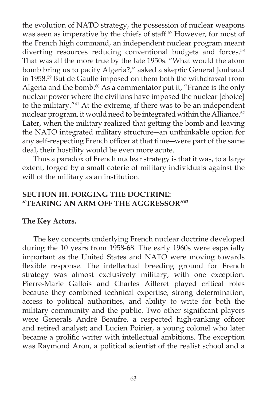the evolution of NATO strategy, the possession of nuclear weapons was seen as imperative by the chiefs of staff.<sup>57</sup> However, for most of the French high command, an independent nuclear program meant diverting resources reducing conventional budgets and forces.<sup>58</sup> That was all the more true by the late 1950s. "What would the atom bomb bring us to pacify Algeria?," asked a skeptic General Jouhaud in 1958.<sup>59</sup> But de Gaulle imposed on them both the withdrawal from Algeria and the bomb. $60$  As a commentator put it, "France is the only nuclear power where the civilians have imposed the nuclear [choice] to the military."61 At the extreme, if there was to be an independent nuclear program, it would need to be integrated within the Alliance.<sup>62</sup> Later, when the military realized that getting the bomb and leaving the NATO integrated military structure―an unthinkable option for any self-respecting French officer at that time—were part of the same deal, their hostility would be even more acute.

 Thus a paradox of French nuclear strategy is that it was, to a large extent, forged by a small coterie of military individuals against the will of the military as an institution.

# **SECTION III. FORGING THE DOCTRINE: "TEARING AN ARM OFF THE AGGRESSOR"63**

### **The Key Actors.**

 The key concepts underlying French nuclear doctrine developed during the 10 years from 1958-68. The early 1960s were especially important as the United States and NATO were moving towards flexible response. The intellectual breeding ground for French strategy was almost exclusively military, with one exception. Pierre-Marie Gallois and Charles Ailleret played critical roles because they combined technical expertise, strong determination, access to political authorities, and ability to write for both the military community and the public. Two other significant players were Generals André Beaufre, a respected high-ranking officer and retired analyst; and Lucien Poirier, a young colonel who later became a prolific writer with intellectual ambitions. The exception was Raymond Aron, a political scientist of the realist school and a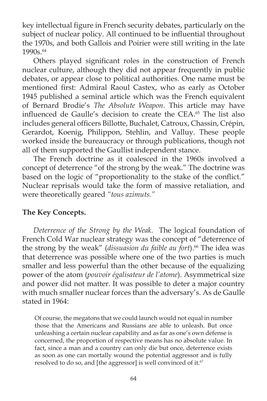key intellectual figure in French security debates, particularly on the subject of nuclear policy. All continued to be influential throughout the 1970s, and both Gallois and Poirier were still writing in the late 1990s.64

Others played significant roles in the construction of French nuclear culture, although they did not appear frequently in public debates, or appear close to political authorities. One name must be mentioned first: Admiral Raoul Castex, who as early as October 1945 published a seminal article which was the French equivalent of Bernard Brodie's *The Absolute Weapon*. This article may have influenced de Gaulle's decision to create the CEA.<sup>65</sup> The list also includes general officers Billotte, Buchalet, Catroux, Chassin, Crépin, Gerardot, Koenig, Philippon, Stehlin, and Valluy. These people worked inside the bureaucracy or through publications, though not all of them supported the Gaullist independent stance.

 The French doctrine as it coalesced in the 1960s involved a concept of deterrence "of the strong by the weak." The doctrine was based on the logic of "proportionality to the stake of the conflict." Nuclear reprisals would take the form of massive retaliation, and were theoretically geared *"tous azimuts."*

# **The Key Concepts.**

*Deterrence of the Strong by the Weak*. The logical foundation of French Cold War nuclear strategy was the concept of "deterrence of the strong by the weak" (*dissuasion du faible au fort*).<sup>66</sup> The idea was that deterrence was possible where one of the two parties is much smaller and less powerful than the other because of the equalizing power of the atom (*pouvoir égalisateur de l'atome*). Asymmetrical size and power did not matter. It was possible to deter a major country with much smaller nuclear forces than the adversary's. As de Gaulle stated in 1964:

Of course, the megatons that we could launch would not equal in number those that the Americans and Russians are able to unleash. But once unleashing a certain nuclear capability and as far as one's own defense is concerned, the proportion of respective means has no absolute value. In fact, since a man and a country can only die but once, deterrence exists as soon as one can mortally wound the potential aggressor and is fully resolved to do so, and [the aggressor] is well convinced of it.<sup>67</sup>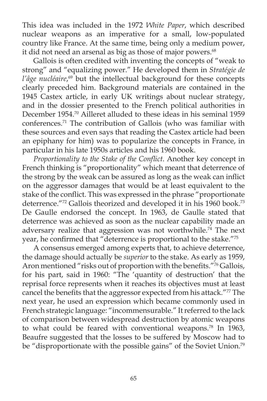This idea was included in the 1972 *White Paper*, which described nuclear weapons as an imperative for a small, low-populated country like France. At the same time, being only a medium power, it did not need an arsenal as big as those of major powers.<sup>68</sup>

 Gallois is often credited with inventing the concepts of "weak to strong" and "equalizing power." He developed them in *Stratégie de*  l'âge nucléaire,<sup>69</sup> but the intellectual background for these concepts clearly preceded him. Background materials are contained in the 1945 Castex article, in early UK writings about nuclear strategy, and in the dossier presented to the French political authorities in December 1954.<sup>70</sup> Ailleret alluded to these ideas in his seminal 1959 conferences.71 The contribution of Gallois (who was familiar with these sources and even says that reading the Castex article had been an epiphany for him) was to popularize the concepts in France, in particular in his late 1950s articles and his 1960 book.

Proportionality to the Stake of the Conflict. Another key concept in French thinking is "proportionality" which meant that deterrence of the strong by the weak can be assured as long as the weak can inflict on the aggressor damages that would be at least equivalent to the stake of the conflict. This was expressed in the phrase "proportionate deterrence."72 Gallois theorized and developed it in his 1960 book.<sup>73</sup> De Gaulle endorsed the concept. In 1963, de Gaulle stated that deterrence was achieved as soon as the nuclear capability made an adversary realize that aggression was not worthwhile.<sup>74</sup> The next year, he confirmed that "deterrence is proportional to the stake."<sup>75</sup>

 A consensus emerged among experts that, to achieve deterrence, the damage should actually be *superior* to the stake. As early as 1959, Aron mentioned "risks out of proportion with the benefits."<sup>76</sup> Gallois, for his part, said in 1960: "The 'quantity of destruction' that the reprisal force represents when it reaches its objectives must at least cancel the benefits that the aggressor expected from his attack."<sup>77</sup> The next year, he used an expression which became commonly used in French strategic language: "incommensurable." It referred to the lack of comparison between widespread destruction by atomic weapons to what could be feared with conventional weapons.<sup>78</sup> In 1963, Beaufre suggested that the losses to be suffered by Moscow had to be "disproportionate with the possible gains" of the Soviet Union.<sup>79</sup>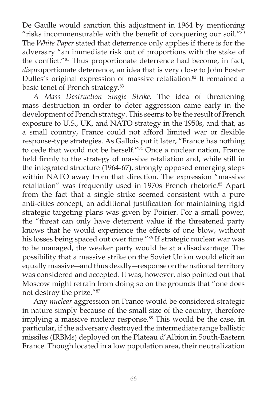De Gaulle would sanction this adjustment in 1964 by mentioning "risks incommensurable with the benefit of conquering our soil." $80$ The *White Paper* stated that deterrence only applies if there is for the adversary "an immediate risk out of proportions with the stake of the conflict."<sup>81</sup> Thus proportionate deterrence had become, in fact, *dis*proportionate deterrence, an idea that is very close to John Foster Dulles's original expression of massive retaliation.<sup>82</sup> It remained a basic tenet of French strategy.83

*A Mass Destruction Single Strike*. The idea of threatening mass destruction in order to deter aggression came early in the development of French strategy. This seems to be the result of French exposure to U.S., UK, and NATO strategy in the 1950s, and that, as a small country, France could not afford limited war or flexible response-type strategies. As Gallois put it later, "France has nothing to cede that would not be herself."<sup>84</sup> Once a nuclear nation, France held firmly to the strategy of massive retaliation and, while still in the integrated structure (1964-67), strongly opposed emerging steps within NATO away from that direction. The expression "massive retaliation" was frequently used in 1970s French rhetoric.<sup>85</sup> Apart from the fact that a single strike seemed consistent with a pure anti-cities concept, an additional justification for maintaining rigid strategic targeting plans was given by Poirier. For a small power, the "threat can only have deterrent value if the threatened party knows that he would experience the effects of one blow, without his losses being spaced out over time."<sup>86</sup> If strategic nuclear war was to be managed, the weaker party would be at a disadvantage. The possibility that a massive strike on the Soviet Union would elicit an equally massive―and thus deadly―response on the national territory was considered and accepted. It was, however, also pointed out that Moscow might refrain from doing so on the grounds that "one does not destroy the prize."87

 Any *nuclear* aggression on France would be considered strategic in nature simply because of the small size of the country, therefore implying a massive nuclear response.<sup>88</sup> This would be the case, in particular, if the adversary destroyed the intermediate range ballistic missiles (IRBMs) deployed on the Plateau d'Albion in South-Eastern France. Though located in a low population area, their neutralization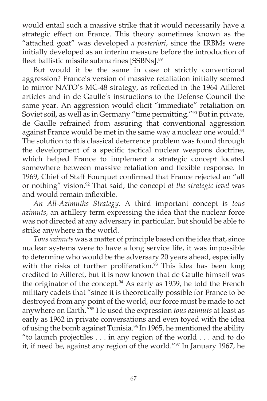would entail such a massive strike that it would necessarily have a strategic effect on France. This theory sometimes known as the "attached goat" was developed *a posteriori*, since the IRBMs were initially developed as an interim measure before the introduction of fleet ballistic missile submarines [SSBNs].<sup>89</sup>

 But would it be the same in case of strictly conventional aggression? France's version of massive retaliation initially seemed to mirror NATO's MC-48 strategy, as reflected in the 1964 Ailleret articles and in de Gaulle's instructions to the Defense Council the same year. An aggression would elicit "immediate" retaliation on Soviet soil, as well as in Germany "time permitting."<sup>90</sup> But in private, de Gaulle refrained from assuring that conventional aggression against France would be met in the same way a nuclear one would.<sup>91</sup> The solution to this classical deterrence problem was found through the development of a specific tactical nuclear weapons doctrine, which helped France to implement a strategic concept located somewhere between massive retaliation and flexible response. In 1969, Chief of Staff Fourquet confirmed that France rejected an "all or nothing" vision.92 That said, the concept *at the strategic level* was and would remain inflexible.

*An All-Azimuths Strategy*. A third important concept is *tous azimuts*, an artillery term expressing the idea that the nuclear force was not directed at any adversary in particular, but should be able to strike anywhere in the world.

*Tous azimuts* was a matter of principle based on the idea that, since nuclear systems were to have a long service life, it was impossible to determine who would be the adversary 20 years ahead, especially with the risks of further proliferation.<sup>93</sup> This idea has been long credited to Ailleret, but it is now known that de Gaulle himself was the originator of the concept.<sup>94</sup> As early as 1959, he told the French military cadets that "since it is theoretically possible for France to be destroyed from any point of the world, our force must be made to act anywhere on Earth."95 He used the expression *tous azimuts* at least as early as 1962 in private conversations and even toyed with the idea of using the bomb against Tunisia.<sup>96</sup> In 1965, he mentioned the ability "to launch projectiles . . . in any region of the world . . . and to do it, if need be, against any region of the world."97 In January 1967, he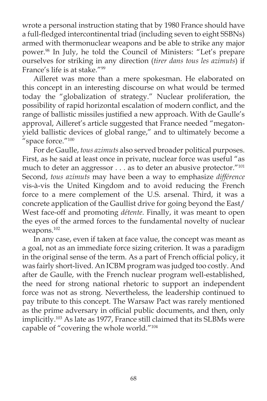wrote a personal instruction stating that by 1980 France should have a full-fledged intercontinental triad (including seven to eight SSBNs) armed with thermonuclear weapons and be able to strike any major power.98 In July, he told the Council of Ministers: "Let's prepare ourselves for striking in any direction (*tirer dans tous les azimuts*) if France's life is at stake."99

 Ailleret was more than a mere spokesman. He elaborated on this concept in an interesting discourse on what would be termed today the "globalization of strategy." Nuclear proliferation, the possibility of rapid horizontal escalation of modern conflict, and the range of ballistic missiles justified a new approach. With de Gaulle's approval, Ailleret's article suggested that France needed "megatonyield ballistic devices of global range," and to ultimately become a "space force."<sup>100</sup>

 For de Gaulle, *tous azimuts* also served broader political purposes. First, as he said at least once in private, nuclear force was useful "as much to deter an aggressor . . . as to deter an abusive protector."<sup>101</sup> Second, *tous azimuts* may have been a way to emphasize *différence*  vis-à-vis the United Kingdom and to avoid reducing the French force to a mere complement of the U.S. arsenal. Third, it was a concrete application of the Gaullist drive for going beyond the East/ West face-off and promoting *détente*. Finally, it was meant to open the eyes of the armed forces to the fundamental novelty of nuclear weapons.102

 In any case, even if taken at face value, the concept was meant as a goal, not as an immediate force sizing criterion. It was a paradigm in the original sense of the term. As a part of French official policy, it was fairly short-lived. An ICBM program was judged too costly. And after de Gaulle, with the French nuclear program well-established, the need for strong national rhetoric to support an independent force was not as strong. Nevertheless, the leadership continued to pay tribute to this concept. The Warsaw Pact was rarely mentioned as the prime adversary in official public documents, and then, only implicitly.103 As late as 1977, France still claimed that its SLBMs were capable of "covering the whole world."104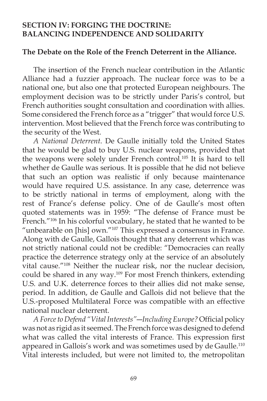# **SECTION IV: FORGING THE DOCTRINE: BALANCING INDEPENDENCE AND SOLIDARITY**

#### **The Debate on the Role of the French Deterrent in the Alliance.**

 The insertion of the French nuclear contribution in the Atlantic Alliance had a fuzzier approach. The nuclear force was to be a national one, but also one that protected European neighbours. The employment decision was to be strictly under Paris's control, but French authorities sought consultation and coordination with allies. Some considered the French force as a "trigger" that would force U.S. intervention. Most believed that the French force was contributing to the security of the West.

 *A National Deterrent*. De Gaulle initially told the United States that he would be glad to buy U.S. nuclear weapons, provided that the weapons were solely under French control.105 It is hard to tell whether de Gaulle was serious. It is possible that he did not believe that such an option was realistic if only because maintenance would have required U.S. assistance. In any case, deterrence was to be strictly national in terms of employment, along with the rest of France's defense policy. One of de Gaulle's most often quoted statements was in 1959: "The defense of France must be French."<sup>106</sup> In his colorful vocabulary, he stated that he wanted to be "unbearable on [his] own."<sup>107</sup> This expressed a consensus in France. Along with de Gaulle, Gallois thought that any deterrent which was not strictly national could not be credible: "Democracies can really practice the deterrence strategy only at the service of an absolutely vital cause."108 Neither the nuclear risk, nor the nuclear decision, could be shared in any way.<sup>109</sup> For most French thinkers, extending U.S. and U.K. deterrence forces to their allies did not make sense, period. In addition, de Gaulle and Gallois did not believe that the U.S.-proposed Multilateral Force was compatible with an effective national nuclear deterrent.

*A Force to Defend "Vital Interests"*—Including Europe? Official policy was not as rigid as it seemed. The French force was designed to defend what was called the vital interests of France. This expression first appeared in Gallois's work and was sometimes used by de Gaulle.<sup>110</sup> Vital interests included, but were not limited to, the metropolitan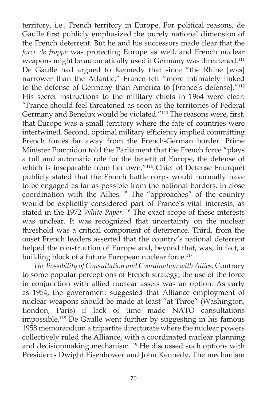territory, i.e., French territory in Europe. For political reasons, de Gaulle first publicly emphasized the purely national dimension of the French deterrent. But he and his successors made clear that the *force de frappe* was protecting Europe as well, and French nuclear weapons might be automatically used if Germany was threatened.<sup>111</sup> De Gaulle had argued to Kennedy that since "the Rhine [was] narrower than the Atlantic," France felt "more intimately linked to the defense of Germany than America to [France's defense]."112 His secret instructions to the military chiefs in 1964 were clear: "France should feel threatened as soon as the territories of Federal Germany and Benelux would be violated."<sup>113</sup> The reasons were, first, that Europe was a small territory where the fate of countries were intertwined. Second, optimal military efficiency implied committing French forces far away from the French-German border. Prime Minister Pompidou told the Parliament that the French force "plays a full and automatic role for the benefit of Europe, the defense of which is inseparable from her own."114 Chief of Defense Fourquet publicly stated that the French battle corps would normally have to be engaged as far as possible from the national borders, in close coordination with the Allies.115 The "approaches" of the country would be explicitly considered part of France's vital interests, as stated in the 1972 *White Paper*. 116 The exact scope of these interests was unclear. It was recognized that uncertainty on the nuclear threshold was a critical component of deterrence. Third, from the onset French leaders asserted that the country's national deterrent helped the construction of Europe and, beyond that, was, in fact, a building block of a future European nuclear force.<sup>117</sup>

*The Possibility of Consultation and Coordination with Allies*. Contrary to some popular perceptions of French strategy, the use of the force in conjunction with allied nuclear assets was an option. As early as 1954, the government suggested that Alliance employment of nuclear weapons should be made at least "at Three" (Washington, London, Paris) if lack of time made NATO consultations impossible.118 De Gaulle went further by suggesting in his famous 1958 memorandum a tripartite directorate where the nuclear powers collectively ruled the Alliance, with a coordinated nuclear planning and decisionmaking mechanism.<sup>119</sup> He discussed such options with Presidents Dwight Eisenhower and John Kennedy. The mechanism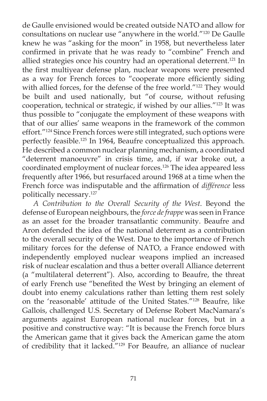de Gaulle envisioned would be created outside NATO and allow for consultations on nuclear use "anywhere in the world."120 De Gaulle knew he was "asking for the moon" in 1958, but nevertheless later confirmed in private that he was ready to "combine" French and allied strategies once his country had an operational deterrent.121 In the first multiyear defense plan, nuclear weapons were presented as a way for French forces to "cooperate more efficiently siding with allied forces, for the defense of the free world."<sup>122</sup> They would be built and used nationally, but "of course, without refusing cooperation, technical or strategic, if wished by our allies."123 It was thus possible to "conjugate the employment of these weapons with that of our allies' same weapons in the framework of the common effort."124 Since French forces were still integrated, such options were perfectly feasible.125 In 1964, Beaufre conceptualized this approach. He described a common nuclear planning mechanism, a coordinated "deterrent manoeuvre" in crisis time, and, if war broke out, a coordinated employment of nuclear forces.<sup>126</sup> The idea appeared less frequently after 1966, but resurfaced around 1968 at a time when the French force was indisputable and the affirmation of *différence* less politically necessary.127

*A Contribution to the Overall Security of the West*. Beyond the defense of European neighbours, the *force de frappe* was seen in France as an asset for the broader transatlantic community. Beaufre and Aron defended the idea of the national deterrent as a contribution to the overall security of the West. Due to the importance of French military forces for the defense of NATO, a France endowed with independently employed nuclear weapons implied an increased risk of nuclear escalation and thus a better overall Alliance deterrent (a "multilateral deterrent"). Also, according to Beaufre, the threat of early French use "benefited the West by bringing an element of doubt into enemy calculations rather than letting them rest solely on the 'reasonable' attitude of the United States."128 Beaufre, like Gallois, challenged U.S. Secretary of Defense Robert MacNamara's arguments against European national nuclear forces, but in a positive and constructive way: "It is because the French force blurs the American game that it gives back the American game the atom of credibility that it lacked."129 For Beaufre, an alliance of nuclear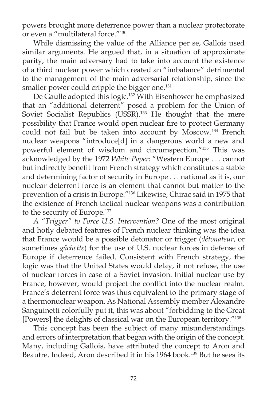powers brought more deterrence power than a nuclear protectorate or even a "multilateral force."130

While dismissing the value of the Alliance per se, Gallois used similar arguments. He argued that, in a situation of approximate parity, the main adversary had to take into account the existence of a third nuclear power which created an "imbalance" detrimental to the management of the main adversarial relationship, since the smaller power could cripple the bigger one.<sup>131</sup>

 De Gaulle adopted this logic.132 With Eisenhower he emphasized that an "additional deterrent" posed a problem for the Union of Soviet Socialist Republics (USSR).<sup>133</sup> He thought that the mere possibility that France would open nuclear fire to protect Germany could not fail but be taken into account by Moscow.134 French nuclear weapons "introduce[d] in a dangerous world a new and powerful element of wisdom and circumspection."135 This was acknowledged by the 1972 *White Paper*: "Western Europe . . . cannot but indirectly benefit from French strategy which constitutes a stable and determining factor of security in Europe . . . national as it is, our nuclear deterrent force is an element that cannot but matter to the prevention of a crisis in Europe."136 Likewise, Chirac said in 1975 that the existence of French tactical nuclear weapons was a contribution to the security of Europe.<sup>137</sup>

 *A "Trigger" to Force U.S. Intervention?* One of the most original and hotly debated features of French nuclear thinking was the idea that France would be a possible detonator or trigger (*détonateur*, or sometimes *gâchette*) for the use of U.S. nuclear forces in defense of Europe if deterrence failed. Consistent with French strategy, the logic was that the United States would delay, if not refuse, the use of nuclear forces in case of a Soviet invasion. Initial nuclear use by France, however, would project the conflict into the nuclear realm. France's deterrent force was thus equivalent to the primary stage of a thermonuclear weapon. As National Assembly member Alexandre Sanguinetti colorfully put it, this was about "forbidding to the Great [Powers] the delights of classical war on the European territory."138

This concept has been the subject of many misunderstandings and errors of interpretation that began with the origin of the concept. Many, including Gallois, have attributed the concept to Aron and Beaufre. Indeed, Aron described it in his 1964 book.<sup>139</sup> But he sees its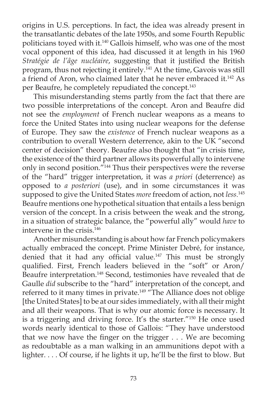origins in U.S. perceptions. In fact, the idea was already present in the transatlantic debates of the late 1950s, and some Fourth Republic politicians toyed with it.140 Gallois himself, who was one of the most vocal opponent of this idea, had discussed it at length in his 1960 *Stratégie de l'âge nucléaire, suggesting that it justified the British* program, thus not rejecting it entirely.141 At the time, Gavois was still a friend of Aron, who claimed later that he never embraced it.<sup>142</sup> As per Beaufre, he completely repudiated the concept.<sup>143</sup>

 This misunderstanding stems partly from the fact that there are two possible interpretations of the concept. Aron and Beaufre did not see the *employment* of French nuclear weapons as a means to force the United States into using nuclear weapons for the defense of Europe. They saw the *existence* of French nuclear weapons as a contribution to overall Western deterrence, akin to the UK "second center of decision" theory. Beaufre also thought that "in crisis time, the existence of the third partner allows its powerful ally to intervene only in second position."144 Thus their perspectives were the reverse of the "hard" trigger interpretation, it was *a priori* (deterrence) as opposed to *a posteriori* (use), and in some circumstances it was supposed to give the United States *more* freedom of action, not *less*. 145 Beaufre mentions one hypothetical situation that entails a less benign version of the concept. In a crisis between the weak and the strong, in a situation of strategic balance, the "powerful ally" would *have* to intervene in the crisis. $146$ 

 Another misunderstanding is about how far French policymakers actually embraced the concept. Prime Minister Debré, for instance, denied that it had any official value.<sup>147</sup> This must be strongly qualified. First, French leaders believed in the "soft" or Aron/ Beaufre interpretation.148 Second, testimonies have revealed that de Gaulle *did* subscribe to the "hard" interpretation of the concept, and referred to it many times in private.<sup>149</sup> "The Alliance does not oblige [the United States] to be at our sides immediately, with all their might and all their weapons. That is why our atomic force is necessary. It is a triggering and driving force. It's the starter."150 He once used words nearly identical to those of Gallois: "They have understood that we now have the finger on the trigger  $\dots$ . We are becoming as redoubtable as a man walking in an ammunitions depot with a lighter. . . . Of course, if he lights it up, he'll be the first to blow. But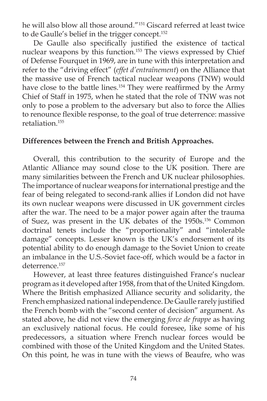he will also blow all those around."151 Giscard referred at least twice to de Gaulle's belief in the trigger concept.152

De Gaulle also specifically justified the existence of tactical nuclear weapons by this function.153 The views expressed by Chief of Defense Fourquet in 1969, are in tune with this interpretation and refer to the "driving effect" (*effet d'entraînement*) on the Alliance that the massive use of French tactical nuclear weapons (TNW) would have close to the battle lines.<sup>154</sup> They were reaffirmed by the Army Chief of Staff in 1975, when he stated that the role of TNW was not only to pose a problem to the adversary but also to force the Allies to renounce flexible response, to the goal of true deterrence: massive retaliation.155

### **Differences between the French and British Approaches.**

 Overall, this contribution to the security of Europe and the Atlantic Alliance may sound close to the UK position. There are many similarities between the French and UK nuclear philosophies. The importance of nuclear weapons for international prestige and the fear of being relegated to second-rank allies if London did not have its own nuclear weapons were discussed in UK government circles after the war. The need to be a major power again after the trauma of Suez, was present in the UK debates of the 1950s.156 Common doctrinal tenets include the "proportionality" and "intolerable damage" concepts. Lesser known is the UK's endorsement of its potential ability to do enough damage to the Soviet Union to create an imbalance in the U.S.-Soviet face-off, which would be a factor in deterrence.<sup>157</sup>

 However, at least three features distinguished France's nuclear program as it developed after 1958, from that of the United Kingdom. Where the British emphasized Alliance security and solidarity, the French emphasized national independence. De Gaulle rarely justified the French bomb with the "second center of decision" argument. As stated above, he did not view the emerging *force de frappe* as having an exclusively national focus. He could foresee, like some of his predecessors, a situation where French nuclear forces would be combined with those of the United Kingdom and the United States. On this point, he was in tune with the views of Beaufre, who was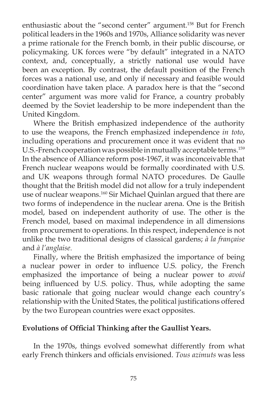enthusiastic about the "second center" argument.<sup>158</sup> But for French political leaders in the 1960s and 1970s, Alliance solidarity was never a prime rationale for the French bomb, in their public discourse, or policymaking. UK forces were "by default" integrated in a NATO context, and, conceptually, a strictly national use would have been an exception. By contrast, the default position of the French forces was a national use, and only if necessary and feasible would coordination have taken place. A paradox here is that the "second center" argument was more valid for France, a country probably deemed by the Soviet leadership to be more independent than the United Kingdom.

 Where the British emphasized independence of the authority to use the weapons, the French emphasized independence *in toto*, including operations and procurement once it was evident that no U.S.-French cooperation was possible in mutually acceptable terms.<sup>159</sup> In the absence of Alliance reform post-1967, it was inconceivable that French nuclear weapons would be formally coordinated with U.S. and UK weapons through formal NATO procedures. De Gaulle thought that the British model did not allow for a truly independent use of nuclear weapons.160 Sir Michael Quinlan argued that there are two forms of independence in the nuclear arena. One is the British model, based on independent authority of use. The other is the French model, based on maximal independence in all dimensions from procurement to operations. In this respect, independence is not unlike the two traditional designs of classical gardens; *à la française* and *à l'anglaise*.

 Finally, where the British emphasized the importance of being a nuclear power in order to influence U.S. policy, the French emphasized the importance of being a nuclear power to *avoid*  being influenced by U.S. policy. Thus, while adopting the same basic rationale that going nuclear would change each country's relationship with the United States, the political justifications offered by the two European countries were exact opposites.

## **Evolutions of Official Thinking after the Gaullist Years.**

 In the 1970s, things evolved somewhat differently from what early French thinkers and officials envisioned. Tous azimuts was less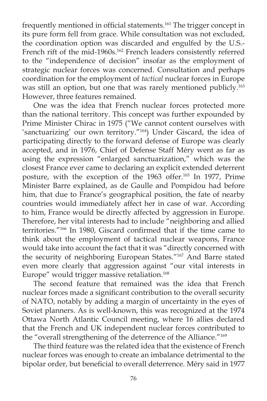frequently mentioned in official statements.<sup>161</sup> The trigger concept in its pure form fell from grace. While consultation was not excluded, the coordination option was discarded and engulfed by the U.S.- French rift of the mid-1960s.<sup>162</sup> French leaders consistently referred to the "independence of decision" insofar as the employment of strategic nuclear forces was concerned. Consultation and perhaps coordination for the employment of *tactical* nuclear forces in Europe was still an option, but one that was rarely mentioned publicly.<sup>163</sup> However, three features remained.

 One was the idea that French nuclear forces protected more than the national territory. This concept was further expounded by Prime Minister Chirac in 1975 ("We cannot content ourselves with 'sanctuarizing' our own territory."164) Under Giscard, the idea of participating directly to the forward defense of Europe was clearly accepted, and in 1976, Chief of Defense Staff Méry went as far as using the expression "enlarged sanctuarization," which was the closest France ever came to declaring an explicit extended deterrent posture, with the exception of the 1963 offer.<sup>165</sup> In 1977, Prime Minister Barre explained, as de Gaulle and Pompidou had before him, that due to France's geographical position, the fate of nearby countries would immediately affect her in case of war. According to him, France would be directly affected by aggression in Europe. Therefore, her vital interests had to include "neighboring and allied territories."<sup>166</sup> In 1980, Giscard confirmed that if the time came to think about the employment of tactical nuclear weapons, France would take into account the fact that it was "directly concerned with the security of neighboring European States."167 And Barre stated even more clearly that aggression against "our vital interests in Europe" would trigger massive retaliation.168

 The second feature that remained was the idea that French nuclear forces made a significant contribution to the overall security of NATO, notably by adding a margin of uncertainty in the eyes of Soviet planners. As is well-known, this was recognized at the 1974 Ottawa North Atlantic Council meeting, where 16 allies declared that the French and UK independent nuclear forces contributed to the "overall strengthening of the deterrence of the Alliance."<sup>169</sup>

 The third feature was the related idea that the existence of French nuclear forces was enough to create an imbalance detrimental to the bipolar order, but beneficial to overall deterrence. Méry said in 1977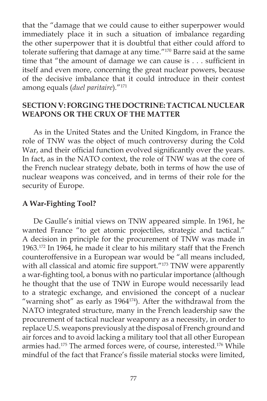that the "damage that we could cause to either superpower would immediately place it in such a situation of imbalance regarding the other superpower that it is doubtful that either could afford to tolerate suffering that damage at any time."170 Barre said at the same time that "the amount of damage we can cause is  $\dots$  sufficient in itself and even more, concerning the great nuclear powers, because of the decisive imbalance that it could introduce in their contest among equals (*duel paritaire*)*.*"171

# **SECTION V: FORGING THE DOCTRINE: TACTICAL NUCLEAR WEAPONS OR THE CRUX OF THE MATTER**

As in the United States and the United Kingdom, in France the role of TNW was the object of much controversy during the Cold War, and their official function evolved significantly over the years. In fact, as in the NATO context, the role of TNW was at the core of the French nuclear strategy debate, both in terms of how the use of nuclear weapons was conceived, and in terms of their role for the security of Europe.

### **A War-Fighting Tool?**

 De Gaulle's initial views on TNW appeared simple. In 1961, he wanted France "to get atomic projectiles, strategic and tactical." A decision in principle for the procurement of TNW was made in 1963.172 In 1964, he made it clear to his military staff that the French counteroffensive in a European war would be "all means included, with all classical and atomic fire support."<sup>173</sup> TNW were apparently a war-fighting tool, a bonus with no particular importance (although he thought that the use of TNW in Europe would necessarily lead to a strategic exchange, and envisioned the concept of a nuclear "warning shot" as early as 1964<sup>174</sup>). After the withdrawal from the NATO integrated structure, many in the French leadership saw the procurement of tactical nuclear weaponry as a necessity, in order to replace U.S. weapons previously at the disposal of French ground and air forces and to avoid lacking a military tool that all other European armies had.175 The armed forces were, of course, interested.176 While mindful of the fact that France's fissile material stocks were limited,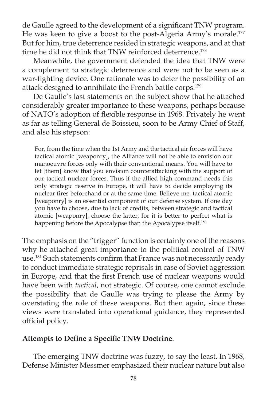de Gaulle agreed to the development of a significant TNW program. He was keen to give a boost to the post-Algeria Army's morale.<sup>177</sup> But for him, true deterrence resided in strategic weapons, and at that time he did not think that TNW reinforced deterrence.<sup>178</sup>

 Meanwhile, the government defended the idea that TNW were a complement to strategic deterrence and were not to be seen as a war-fighting device. One rationale was to deter the possibility of an attack designed to annihilate the French battle corps.<sup>179</sup>

 De Gaulle's last statements on the subject show that he attached considerably greater importance to these weapons, perhaps because of NATO's adoption of flexible response in 1968. Privately he went as far as telling General de Boissieu, soon to be Army Chief of Staff, and also his stepson:

For, from the time when the 1st Army and the tactical air forces will have tactical atomic [weaponry], the Alliance will not be able to envision our manoeuvre forces only with their conventional means. You will have to let [them] know that you envision counterattacking with the support of our tactical nuclear forces. Thus if the allied high command needs this only strategic reserve in Europe, it will have to decide employing its nuclear fires beforehand or at the same time. Believe me, tactical atomic [weaponry] is an essential component of our defense system. If one day you have to choose, due to lack of credits, between strategic and tactical atomic [weaponry], choose the latter, for it is better to perfect what is happening before the Apocalypse than the Apocalypse itself.<sup>180</sup>

The emphasis on the "trigger" function is certainly one of the reasons why he attached great importance to the political control of TNW use.<sup>181</sup> Such statements confirm that France was not necessarily ready to conduct immediate strategic reprisals in case of Soviet aggression in Europe, and that the first French use of nuclear weapons would have been with *tactical*, not strategic. Of course, one cannot exclude the possibility that de Gaulle was trying to please the Army by overstating the role of these weapons. But then again, since these views were translated into operational guidance, they represented official policy.

#### Attempts to Define a Specific TNW Doctrine.

 The emerging TNW doctrine was fuzzy, to say the least. In 1968, Defense Minister Messmer emphasized their nuclear nature but also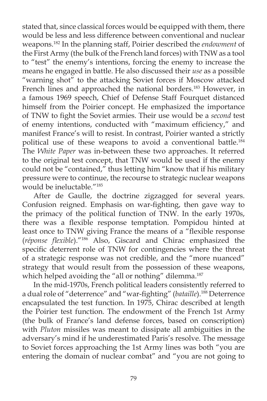stated that, since classical forces would be equipped with them, there would be less and less difference between conventional and nuclear weapons.182 In the planning staff, Poirier described the *endowment* of the First Army (the bulk of the French land forces) with TNW as a tool to "test" the enemy's intentions, forcing the enemy to increase the means he engaged in battle. He also discussed their *use* as a possible "warning shot" to the attacking Soviet forces if Moscow attacked French lines and approached the national borders.<sup>183</sup> However, in a famous 1969 speech, Chief of Defense Staff Fourquet distanced himself from the Poirier concept. He emphasized the importance of TNW to fight the Soviet armies. Their use would be a *second* test of enemy intentions, conducted with "maximum efficiency," and manifest France's will to resist. In contrast, Poirier wanted a strictly political use of these weapons to avoid a conventional battle.184 The *White Paper* was in-between these two approaches. It referred to the original test concept, that TNW would be used if the enemy could not be "contained," thus letting him "know that if his military pressure were to continue, the recourse to strategic nuclear weapons would be ineluctable."185

 After de Gaulle, the doctrine zigzagged for several years. Confusion reigned. Emphasis on war-fighting, then gave way to the primacy of the political function of TNW. In the early 1970s, there was a flexible response temptation. Pompidou hinted at least once to TNW giving France the means of a "flexible response (*réponse flexible*)."<sup>186</sup> Also, Giscard and Chirac emphasized the specific deterrent role of TNW for contingencies where the threat of a strategic response was not credible, and the "more nuanced" strategy that would result from the possession of these weapons, which helped avoiding the "all or nothing" dilemma.<sup>187</sup>

 In the mid-1970s, French political leaders consistently referred to a dual role of "deterrence" and "war-fighting" (*bataille*).<sup>188</sup> Deterrence encapsulated the test function. In 1975, Chirac described at length the Poirier test function. The endowment of the French 1st Army (the bulk of France's land defense forces, based on conscription) with *Pluton* missiles was meant to dissipate all ambiguities in the adversary's mind if he underestimated Paris's resolve. The message to Soviet forces approaching the 1st Army lines was both "you are entering the domain of nuclear combat" and "you are not going to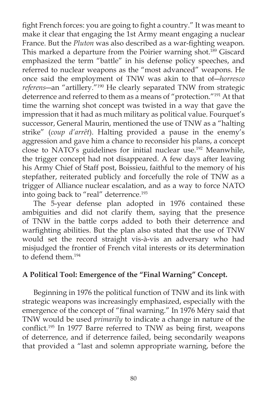fight French forces: you are going to fight a country." It was meant to make it clear that engaging the 1st Army meant engaging a nuclear France. But the *Pluton* was also described as a war-fighting weapon. This marked a departure from the Poirier warning shot.<sup>189</sup> Giscard emphasized the term "battle" in his defense policy speeches, and referred to nuclear weapons as the "most advanced" weapons. He once said the employment of TNW was akin to that of―*horresco referens―*an "artillery."190 He clearly separated TNW from strategic deterrence and referred to them as a means of "protection."191 At that time the warning shot concept was twisted in a way that gave the impression that it had as much military as political value. Fourquet's successor, General Maurin, mentioned the use of TNW as a "halting strike" (*coup d'arrêt*). Halting provided a pause in the enemy's aggression and gave him a chance to reconsider his plans, a concept close to NATO's guidelines for initial nuclear use.<sup>192</sup> Meanwhile, the trigger concept had not disappeared. A few days after leaving his Army Chief of Staff post, Boissieu, faithful to the memory of his stepfather, reiterated publicly and forcefully the role of TNW as a trigger of Alliance nuclear escalation, and as a way to force NATO into going back to "real" deterrence.<sup>193</sup>

 The 5-year defense plan adopted in 1976 contained these ambiguities and did not clarify them, saying that the presence of TNW in the battle corps added to both their deterrence and warfighting abilities. But the plan also stated that the use of TNW would set the record straight vis-à-vis an adversary who had misjudged the frontier of French vital interests or its determination to defend them.194

# **A Political Tool: Emergence of the "Final Warning" Concept.**

 Beginning in 1976 the political function of TNW and its link with strategic weapons was increasingly emphasized, especially with the emergence of the concept of "final warning." In 1976 Méry said that TNW would be used *primarily* to indicate a change in nature of the conflict.<sup>195</sup> In 1977 Barre referred to TNW as being first, weapons of deterrence, and if deterrence failed, being secondarily weapons that provided a "last and solemn appropriate warning, before the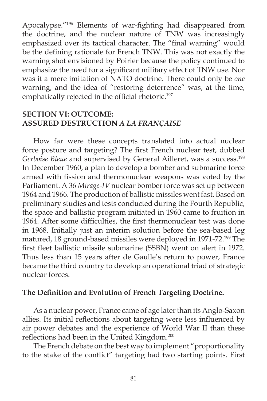Apocalypse."<sup>196</sup> Elements of war-fighting had disappeared from the doctrine, and the nuclear nature of TNW was increasingly emphasized over its tactical character. The "final warning" would be the defining rationale for French TNW. This was not exactly the warning shot envisioned by Poirier because the policy continued to emphasize the need for a significant military effect of TNW use. Nor was it a mere imitation of NATO doctrine. There could only be *one* warning, and the idea of "restoring deterrence" was, at the time, emphatically rejected in the official rhetoric.<sup>197</sup>

### **SECTION VI: OUTCOME: ASSURED DESTRUCTION** *A LA FRANÇAISE*

 How far were these concepts translated into actual nuclear force posture and targeting? The first French nuclear test, dubbed Gerboise Bleue and supervised by General Ailleret, was a success.<sup>198</sup> In December 1960, a plan to develop a bomber and submarine force armed with fission and thermonuclear weapons was voted by the Parliament. A 36 Mirage-IV nuclear bomber force was set up between 1964 and 1966. The production of ballistic missiles went fast. Based on preliminary studies and tests conducted during the Fourth Republic, the space and ballistic program initiated in 1960 came to fruition in 1964. After some difficulties, the first thermonuclear test was done in 1968. Initially just an interim solution before the sea-based leg matured, 18 ground-based missiles were deployed in 1971-72.<sup>199</sup> The first fleet ballistic missile submarine (SSBN) went on alert in 1972. Thus less than 15 years after de Gaulle's return to power, France became the third country to develop an operational triad of strategic nuclear forces.

### **The Definition and Evolution of French Targeting Doctrine.**

 As a nuclear power, France came of age later than its Anglo-Saxon allies. Its initial reflections about targeting were less influenced by air power debates and the experience of World War II than these reflections had been in the United Kingdom.<sup>200</sup>

 The French debate on the best way to implement "proportionality to the stake of the conflict" targeting had two starting points. First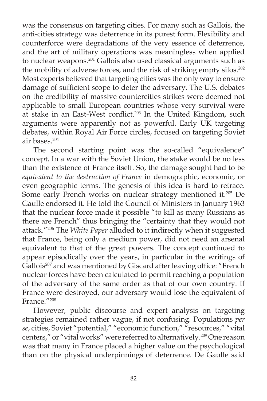was the consensus on targeting cities. For many such as Gallois, the anti-cities strategy was deterrence in its purest form. Flexibility and counterforce were degradations of the very essence of deterrence, and the art of military operations was meaningless when applied to nuclear weapons.201 Gallois also used classical arguments such as the mobility of adverse forces, and the risk of striking empty silos.<sup>202</sup> Most experts believed that targeting cities was the only way to ensure damage of sufficient scope to deter the adversary. The U.S. debates on the credibility of massive countercities strikes were deemed not applicable to small European countries whose very survival were at stake in an East-West conflict.<sup>203</sup> In the United Kingdom, such arguments were apparently not as powerful. Early UK targeting debates, within Royal Air Force circles, focused on targeting Soviet air bases.204

 The second starting point was the so-called "equivalence" concept. In a war with the Soviet Union, the stake would be no less than the existence of France itself. So, the damage sought had to be *equivalent to the destruction of France* in demographic, economic, or even geographic terms. The genesis of this idea is hard to retrace. Some early French works on nuclear strategy mentioned it.205 De Gaulle endorsed it. He told the Council of Ministers in January 1963 that the nuclear force made it possible "to kill as many Russians as there are French" thus bringing the "certainty that they would not attack."206 The *White Paper* alluded to it indirectly when it suggested that France, being only a medium power, did not need an arsenal equivalent to that of the great powers. The concept continued to appear episodically over the years, in particular in the writings of Gallois<sup>207</sup> and was mentioned by Giscard after leaving office: "French nuclear forces have been calculated to permit reaching a population of the adversary of the same order as that of our own country. If France were destroyed, our adversary would lose the equivalent of France."208

 However, public discourse and expert analysis on targeting strategies remained rather vague, if not confusing. Populations *per se*, cities, Soviet "potential," "economic function," "resources," "vital centers," or "vital works" were referred to alternatively.209 One reason was that many in France placed a higher value on the psychological than on the physical underpinnings of deterrence. De Gaulle said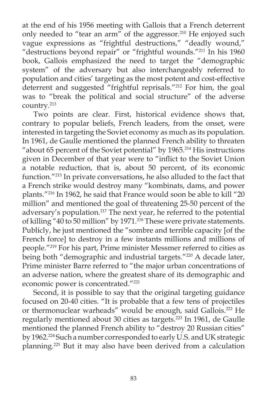at the end of his 1956 meeting with Gallois that a French deterrent only needed to "tear an arm" of the aggressor.<sup>210</sup> He enjoyed such vague expressions as "frightful destructions," "deadly wound," "destructions beyond repair" or "frightful wounds."211 In his 1960 book, Gallois emphasized the need to target the "demographic system" of the adversary but also interchangeably referred to population and cities' targeting as the most potent and cost-effective deterrent and suggested "frightful reprisals."212 For him, the goal was to "break the political and social structure" of the adverse country.213

 Two points are clear. First, historical evidence shows that, contrary to popular beliefs, French leaders, from the onset, were interested in targeting the Soviet economy as much as its population. In 1961, de Gaulle mentioned the planned French ability to threaten "about 65 percent of the Soviet potential" by 1965.214 His instructions given in December of that year were to "inflict to the Soviet Union a notable reduction, that is, about 50 percent, of its economic function."215 In private conversations, he also alluded to the fact that a French strike would destroy many "kombinats, dams, and power plants."216 In 1962, he said that France would soon be able to kill "20 million" and mentioned the goal of threatening 25-50 percent of the adversary's population*.* <sup>217</sup> The next year, he referred to the potential of killing  $40$  to 50 million" by 1971.<sup>218</sup> These were private statements. Publicly, he just mentioned the "sombre and terrible capacity [of the French force] to destroy in a few instants millions and millions of people."219 For his part, Prime minister Messmer referred to cities as being both "demographic and industrial targets."<sup>220</sup> A decade later, Prime minister Barre referred to "the major urban concentrations of an adverse nation, where the greatest share of its demographic and economic power is concentrated."221

Second, it is possible to say that the original targeting guidance focused on 20-40 cities. "It is probable that a few tens of projectiles or thermonuclear warheads" would be enough, said Gallois.<sup>222</sup> He regularly mentioned about 30 cities as targets.<sup>223</sup> In 1961, de Gaulle mentioned the planned French ability to "destroy 20 Russian cities" by 1962.224 Such a number corresponded to early U.S. and UK strategic planning.225 But it may also have been derived from a calculation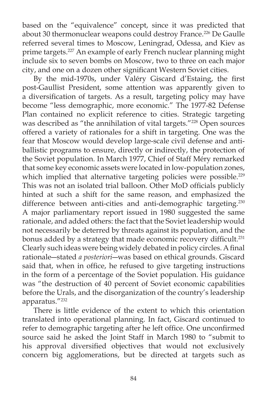based on the "equivalence" concept, since it was predicted that about 30 thermonuclear weapons could destroy France.<sup>226</sup> De Gaulle referred several times to Moscow, Leningrad, Odessa, and Kiev as prime targets.<sup>227</sup> An example of early French nuclear planning might include six to seven bombs on Moscow, two to three on each major city, and one on a dozen other significant Western Soviet cities.

By the mid-1970s, under Valéry Giscard d'Estaing, the first post-Gaullist President, some attention was apparently given to a diversification of targets. As a result, targeting policy may have become "less demographic, more economic." The 1977-82 Defense Plan contained no explicit reference to cities. Strategic targeting was described as "the annihilation of vital targets."<sup>228</sup> Open sources offered a variety of rationales for a shift in targeting. One was the fear that Moscow would develop large-scale civil defense and antiballistic programs to ensure, directly or indirectly, the protection of the Soviet population. In March 1977, Chief of Staff Méry remarked that some key economic assets were located in low-population zones, which implied that alternative targeting policies were possible.<sup>229</sup> This was not an isolated trial balloon. Other MoD officials publicly hinted at such a shift for the same reason, and emphasized the difference between anti-cities and anti-demographic targeting.<sup>230</sup> A major parliamentary report issued in 1980 suggested the same rationale, and added others: the fact that the Soviet leadership would not necessarily be deterred by threats against its population, and the bonus added by a strategy that made economic recovery difficult.<sup>231</sup> Clearly such ideas were being widely debated in policy circles. A final rationale―stated *a posteriori―* was based on ethical grounds. Giscard said that, when in office, he refused to give targeting instructions in the form of a percentage of the Soviet population. His guidance was "the destruction of 40 percent of Soviet economic capabilities before the Urals, and the disorganization of the country's leadership apparatus."232

There is little evidence of the extent to which this orientation translated into operational planning. In fact, Giscard continued to refer to demographic targeting after he left office. One unconfirmed source said he asked the Joint Staff in March 1980 to "submit to his approval diversified objectives that would not exclusively concern big agglomerations, but be directed at targets such as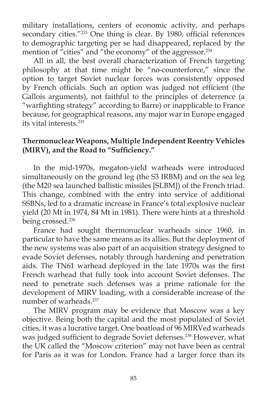military installations, centers of economic activity, and perhaps secondary cities."<sup>233</sup> One thing is clear. By 1980, official references to demographic targeting per se had disappeared, replaced by the mention of "cities" and "the economy" of the aggressor.234

 All in all, the best overall characterization of French targeting philosophy at that time might be "no-counterforce," since the option to target Soviet nuclear forces was consistently opposed by French officials. Such an option was judged not efficient (the Gallois arguments), not faithful to the principles of deterrence (a "warfighting strategy" according to Barre) or inapplicable to France because, for geographical reasons, any major war in Europe engaged its vital interests.235

## **Thermonuclear Weapons, Multiple Independent Reentry Vehicles (MIRV), and the Road to "Sufficiency."**

 In the mid-1970s, megaton-yield warheads were introduced simultaneously on the ground leg (the S3 IRBM) and on the sea leg (the M20 sea launched ballistic missiles [SLBM]) of the French triad. This change, combined with the entry into service of additional SSBNs, led to a dramatic increase in France's total explosive nuclear yield (20 Mt in 1974, 84 Mt in 1981). There were hints at a threshold being crossed.<sup>236</sup>

 France had sought thermonuclear warheads since 1960, in particular to have the same means as its allies. But the deployment of the new systems was also part of an acquisition strategy designed to evade Soviet defenses, notably through hardening and penetration aids. The TN61 warhead deployed in the late 1970s was the first French warhead that fully took into account Soviet defenses. The need to penetrate such defenses was a prime rationale for the development of MIRV loading, with a considerable increase of the number of warheads.<sup>237</sup>

 The MIRV program may be evidence that Moscow was a key objective. Being both the capital and the most populated of Soviet cities, it was a lucrative target. One boatload of 96 MIRVed warheads was judged sufficient to degrade Soviet defenses.<sup>238</sup> However, what the UK called the "Moscow criterion" may not have been as central for Paris as it was for London. France had a larger force than its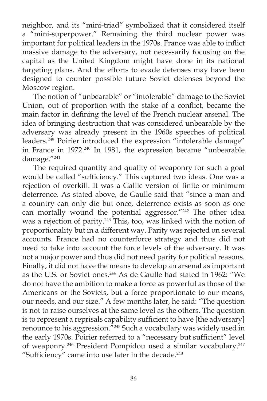neighbor, and its "mini-triad" symbolized that it considered itself a "mini-superpower." Remaining the third nuclear power was important for political leaders in the 1970s. France was able to inflict massive damage to the adversary, not necessarily focusing on the capital as the United Kingdom might have done in its national targeting plans. And the efforts to evade defenses may have been designed to counter possible future Soviet defenses beyond the Moscow region.

 The notion of "unbearable" or "intolerable" damage to the Soviet Union, out of proportion with the stake of a conflict, became the main factor in defining the level of the French nuclear arsenal. The idea of bringing destruction that was considered unbearable by the adversary was already present in the 1960s speeches of political leaders.239 Poirier introduced the expression "intolerable damage" in France in 1972.<sup>240</sup> In 1981, the expression became "unbearable damage."241

 The required quantity and quality of weaponry for such a goal would be called "sufficiency." This captured two ideas. One was a rejection of overkill. It was a Gallic version of finite or minimum deterrence. As stated above, de Gaulle said that "since a man and a country can only die but once, deterrence exists as soon as one can mortally wound the potential aggressor."<sup>242</sup> The other idea was a rejection of parity.<sup>243</sup> This, too, was linked with the notion of proportionality but in a different way. Parity was rejected on several accounts. France had no counterforce strategy and thus did not need to take into account the force levels of the adversary. It was not a major power and thus did not need parity for political reasons. Finally, it did not have the means to develop an arsenal as important as the U.S. or Soviet ones.<sup>244</sup> As de Gaulle had stated in 1962: "We do not have the ambition to make a force as powerful as those of the Americans or the Soviets, but a force proportionate to our means, our needs, and our size." A few months later, he said: "The question is not to raise ourselves at the same level as the others. The question is to represent a reprisals capability sufficient to have [the adversary] renounce to his aggression.<sup>"245</sup> Such a vocabulary was widely used in the early 1970s. Poirier referred to a "necessary but sufficient" level of weaponry.<sup>246</sup> President Pompidou used a similar vocabulary.<sup>247</sup> "Sufficiency" came into use later in the decade.<sup>248</sup>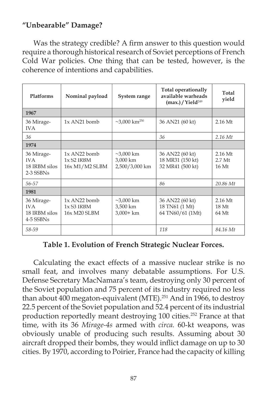# **"Unbearable" Damage?**

Was the strategy credible? A firm answer to this question would require a thorough historical research of Soviet perceptions of French Cold War policies. One thing that can be tested, however, is the coherence of intentions and capabilities.

| <b>Platforms</b>                                       | Nominal payload                                              | System range                                  | Total operationally<br>available warheads<br>$(max.)$ / Yield <sup>249</sup> | Total<br>yield                          |
|--------------------------------------------------------|--------------------------------------------------------------|-----------------------------------------------|------------------------------------------------------------------------------|-----------------------------------------|
| 1967                                                   |                                                              |                                               |                                                                              |                                         |
| 36 Mirage-<br><b>IVA</b>                               | $1x$ AN21 bomb                                               | $\sim$ 3,000 km <sup>250</sup>                | 36 AN21 (60 kt)                                                              | $2.16$ Mt                               |
| 36                                                     |                                                              |                                               | 36                                                                           | $2.16$ Mt                               |
| 1974                                                   |                                                              |                                               |                                                                              |                                         |
| 36 Mirage-<br><b>IVA</b><br>18 IRBM silos<br>2-3 SSBNs | $1x$ AN22 bomb<br>$1x$ S <sub>2</sub> IRBM<br>16x M1/M2 SLBM | $\sim$ 3,000 km<br>3,000 km<br>2,500/3,000 km | 36 AN22 (60 kt)<br>18 MR31 (150 kt)<br>32 MR41 (500 kt)                      | $2.16$ Mt<br>2.7 <sub>Mt</sub><br>16 Mt |
| 56-57                                                  |                                                              |                                               | 86                                                                           | 20.86 Mt                                |
| 1981                                                   |                                                              |                                               |                                                                              |                                         |
| 36 Mirage-<br><b>IVA</b><br>18 IRBM silos<br>4-5 SSBNs | $1x$ AN22 bomb<br>$1xS3$ IRBM<br>16x M20 SLBM                | $~23,000$ km<br>3,500 km<br>$3,000+km$        | 36 AN22 (60 kt)<br>18 TN61 (1 Mt)<br>64 TN60/61 (1Mt)                        | $2.16$ Mt<br>18 <sub>Mt</sub><br>64 Mt  |
| 58-59                                                  |                                                              |                                               | 118                                                                          | 84.16 Mt                                |

### **Table 1. Evolution of French Strategic Nuclear Forces.**

 Calculating the exact effects of a massive nuclear strike is no small feat, and involves many debatable assumptions. For U.S. Defense Secretary MacNamara's team, destroying only 30 percent of the Soviet population and 75 percent of its industry required no less than about 400 megaton-equivalent (MTE).<sup>251</sup> And in 1966, to destroy 22.5 percent of the Soviet population and 52.4 percent of its industrial production reportedly meant destroying 100 cities.<sup>252</sup> France at that time, with its 36 *Mirage-4s* armed with *circa.* 60-kt weapons, was obviously unable of producing such results. Assuming about 30 aircraft dropped their bombs, they would inflict damage on up to 30 cities. By 1970, according to Poirier, France had the capacity of killing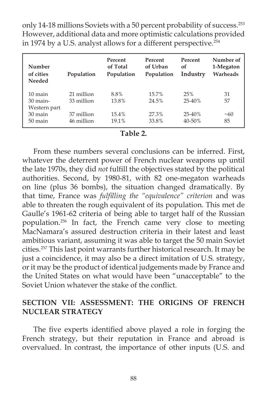only 14-18 millions Soviets with a 50 percent probability of success.<sup>253</sup> However, additional data and more optimistic calculations provided in 1974 by a U.S. analyst allows for a different perspective.<sup>254</sup>

| Number<br>of cities<br><b>Needed</b> | Population | Percent<br>of Total<br>Population | Percent<br>of Urban<br>Population | Percent<br>of<br>Industry | Number of<br>1-Megaton<br>Warheads |
|--------------------------------------|------------|-----------------------------------|-----------------------------------|---------------------------|------------------------------------|
| $10 \text{ main}$                    | 21 million | 8.8%                              | 15.7%                             | 25%                       | 31                                 |
| $30$ main-                           | 33 million | 13.8%                             | 24.5%                             | $25 - 40%$                | 57                                 |
| Western part                         |            |                                   |                                   |                           |                                    |
| 30 main                              | 37 million | $15.4\%$                          | 27.3%                             | $25 - 40%$                | ~10                                |
| $50 \,\mathrm{main}$                 | 46 million | 19.1%                             | 33.8%                             | 40-50%                    | 85                                 |

#### **Table 2.**

 From these numbers several conclusions can be inferred. First, whatever the deterrent power of French nuclear weapons up until the late 1970s, they did *not* fulfill the objectives stated by the political authorities. Second, by 1980-81, with 82 one-megaton warheads on line (plus 36 bombs), the situation changed dramatically. By that time, France was *fulfilling the "equivalence" criterion* and was able to threaten the rough equivalent of its population. This met de Gaulle's 1961-62 criteria of being able to target half of the Russian population.256 In fact, the French came very close to meeting MacNamara's assured destruction criteria in their latest and least ambitious variant, assuming it was able to target the 50 main Soviet cities.257 This last point warrants further historical research. It may be just a coincidence, it may also be a direct imitation of U.S. strategy, or it may be the product of identical judgements made by France and the United States on what would have been "unacceptable" to the Soviet Union whatever the stake of the conflict.

### **SECTION VII: ASSESSMENT: THE ORIGINS OF FRENCH NUCLEAR STRATEGY**

The five experts identified above played a role in forging the French strategy, but their reputation in France and abroad is overvalued. In contrast, the importance of other inputs (U.S. and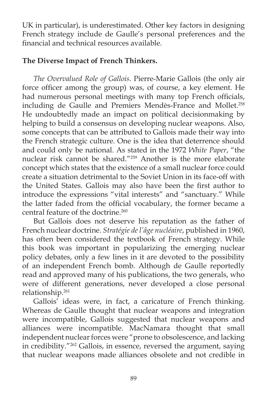UK in particular), is underestimated. Other key factors in designing French strategy include de Gaulle's personal preferences and the financial and technical resources available.

# **The Diverse Impact of French Thinkers.**

*The Overvalued Role of Gallois*. Pierre-Marie Gallois (the only air force officer among the group) was, of course, a key element. He had numerous personal meetings with many top French officials, including de Gaulle and Premiers Mendès-France and Mollet.<sup>258</sup> He undoubtedly made an impact on political decisionmaking by helping to build a consensus on developing nuclear weapons. Also, some concepts that can be attributed to Gallois made their way into the French strategic culture. One is the idea that deterrence should and could only be national. As stated in the 1972 *White Paper*, "the nuclear risk cannot be shared."259 Another is the more elaborate concept which states that the existence of a small nuclear force could create a situation detrimental to the Soviet Union in its face-off with the United States. Gallois may also have been the first author to introduce the expressions "vital interests" and "sanctuary." While the latter faded from the official vocabulary, the former became a central feature of the doctrine.<sup>260</sup>

 But Gallois does not deserve his reputation as the father of French nuclear doctrine. *Stratégie de l'âge nucléaire*, published in 1960, has often been considered the textbook of French strategy. While this book was important in popularizing the emerging nuclear policy debates, only a few lines in it are devoted to the possibility of an independent French bomb. Although de Gaulle reportedly read and approved many of his publications, the two generals, who were of different generations, never developed a close personal relationship.261

 Gallois' ideas were, in fact, a caricature of French thinking. Whereas de Gaulle thought that nuclear weapons and integration were incompatible, Gallois suggested that nuclear weapons and alliances were incompatible. MacNamara thought that small independent nuclear forces were "prone to obsolescence, and lacking in credibility."262 Gallois, in essence, reversed the argument, saying that nuclear weapons made alliances obsolete and not credible in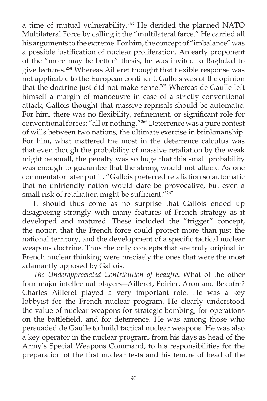a time of mutual vulnerability.<sup>263</sup> He derided the planned NATO Multilateral Force by calling it the "multilateral farce." He carried all his arguments to the extreme. For him, the concept of "imbalance" was a possible justification of nuclear proliferation. An early proponent of the "more may be better" thesis, he was invited to Baghdad to give lectures.<sup>264</sup> Whereas Ailleret thought that flexible response was not applicable to the European continent, Gallois was of the opinion that the doctrine just did not make sense.<sup>265</sup> Whereas de Gaulle left himself a margin of manoeuvre in case of a strictly conventional attack, Gallois thought that massive reprisals should be automatic. For him, there was no flexibility, refinement, or significant role for conventional forces: "all or nothing."266 Deterrence was a pure contest of wills between two nations, the ultimate exercise in brinkmanship. For him, what mattered the most in the deterrence calculus was that even though the probability of massive retaliation by the weak might be small, the penalty was so huge that this small probability was enough to guarantee that the strong would not attack. As one commentator later put it, "Gallois preferred retaliation so automatic that no unfriendly nation would dare be provocative, but even a small risk of retaliation might be sufficient.<sup>"267</sup>

It should thus come as no surprise that Gallois ended up disagreeing strongly with many features of French strategy as it developed and matured. These included the "trigger" concept, the notion that the French force could protect more than just the national territory, and the development of a specific tactical nuclear weapons doctrine. Thus the only concepts that are truly original in French nuclear thinking were precisely the ones that were the most adamantly opposed by Gallois.

*The Underappreciated Contribution of Beaufre***.** What of the other four major intellectual players―Ailleret, Poirier, Aron and Beaufre? Charles Ailleret played a very important role. He was a key lobbyist for the French nuclear program. He clearly understood the value of nuclear weapons for strategic bombing, for operations on the battlefield, and for deterrence. He was among those who persuaded de Gaulle to build tactical nuclear weapons. He was also a key operator in the nuclear program, from his days as head of the Army's Special Weapons Command, to his responsibilities for the preparation of the first nuclear tests and his tenure of head of the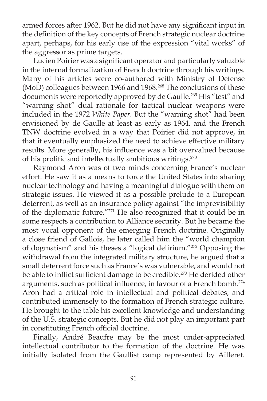armed forces after 1962. But he did not have any significant input in the definition of the key concepts of French strategic nuclear doctrine apart, perhaps, for his early use of the expression "vital works" of the aggressor as prime targets.

Lucien Poirier was a significant operator and particularly valuable in the internal formalization of French doctrine through his writings. Many of his articles were co-authored with Ministry of Defense (MoD) colleagues between 1966 and 1968.<sup>268</sup> The conclusions of these documents were reportedly approved by de Gaulle.<sup>269</sup> His "test" and "warning shot" dual rationale for tactical nuclear weapons were included in the 1972 *White Paper*. But the "warning shot" had been envisioned by de Gaulle at least as early as 1964, and the French TNW doctrine evolved in a way that Poirier did not approve, in that it eventually emphasized the need to achieve effective military results. More generally, his influence was a bit overvalued because of his prolific and intellectually ambitious writings.<sup>270</sup>

 Raymond Aron was of two minds concerning France's nuclear effort. He saw it as a means to force the United States into sharing nuclear technology and having a meaningful dialogue with them on strategic issues. He viewed it as a possible prelude to a European deterrent, as well as an insurance policy against "the imprevisibility of the diplomatic future."271 He also recognized that it could be in some respects a contribution to Alliance security. But he became the most vocal opponent of the emerging French doctrine. Originally a close friend of Gallois, he later called him the "world champion of dogmatism" and his theses a "logical delirium."272 Opposing the withdrawal from the integrated military structure, he argued that a small deterrent force such as France's was vulnerable, and would not be able to inflict sufficient damage to be credible.<sup>273</sup> He derided other arguments, such as political influence, in favour of a French bomb.<sup>274</sup> Aron had a critical role in intellectual and political debates, and contributed immensely to the formation of French strategic culture. He brought to the table his excellent knowledge and understanding of the U.S. strategic concepts. But he did not play an important part in constituting French official doctrine.

 Finally, André Beaufre may be the most under-appreciated intellectual contributor to the formation of the doctrine. He was initially isolated from the Gaullist camp represented by Ailleret.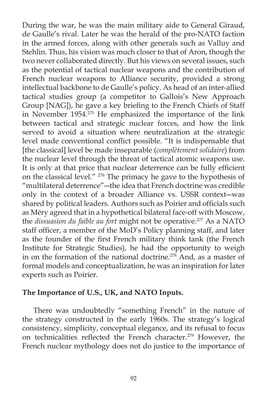During the war, he was the main military aide to General Giraud, de Gaulle's rival. Later he was the herald of the pro-NATO faction in the armed forces, along with other generals such as Valluy and Stehlin. Thus, his vision was much closer to that of Aron, though the two never collaborated directly. But his views on several issues, such as the potential of tactical nuclear weapons and the contribution of French nuclear weapons to Alliance security, provided a strong intellectual backbone to de Gaulle's policy. As head of an inter-allied tactical studies group (a competitor to Gallois's New Approach Group [NAG]), he gave a key briefing to the French Chiefs of Staff in November 1954.275 He emphasized the importance of the link between tactical and strategic nuclear forces, and how the link served to avoid a situation where neutralization at the strategic level made conventional conflict possible. "It is indispensable that [the classical] level be made inseparable (*complètement solidaire*) from the nuclear level through the threat of tactical atomic weapons use. It is only at that price that nuclear deterrence can be fully efficient on the classical level." 276 The primacy he gave to the hypothesis of "multilateral deterrence"―the idea that French doctrine was credible only in the context of a broader Alliance vs. USSR context―was shared by political leaders. Authors such as Poirier and officials such as Méry agreed that in a hypothetical bilateral face-off with Moscow, the *dissuasion du faible au fort* might not be operative.<sup>277</sup> As a NATO staff officer, a member of the MoD's Policy planning staff, and later as the founder of the first French military think tank (the French Institute for Strategic Studies), he had the opportunity to weigh in on the formation of the national doctrine.<sup>278</sup> And, as a master of formal models and conceptualization, he was an inspiration for later experts such as Poirier.

#### **The Importance of U.S., UK, and NATO Inputs.**

 There was undoubtedly "something French" in the nature of the strategy constructed in the early 1960s. The strategy's logical consistency, simplicity, conceptual elegance, and its refusal to focus on technicalities reflected the French character.<sup>279</sup> However, the French nuclear mythology does not do justice to the importance of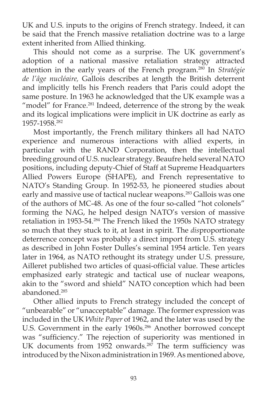UK and U.S. inputs to the origins of French strategy. Indeed, it can be said that the French massive retaliation doctrine was to a large extent inherited from Allied thinking.

 This should not come as a surprise. The UK government's adoption of a national massive retaliation strategy attracted attention in the early years of the French program.280 In *Stratégie de l'âge nucléaire,* Gallois describes at length the British deterrent and implicitly tells his French readers that Paris could adopt the same posture. In 1963 he acknowledged that the UK example was a "model" for France.<sup>281</sup> Indeed, deterrence of the strong by the weak and its logical implications were implicit in UK doctrine as early as 1957-1958.282

 Most importantly, the French military thinkers all had NATO experience and numerous interactions with allied experts, in particular with the RAND Corporation, then the intellectual breeding ground of U.S. nuclear strategy. Beaufre held several NATO positions, including deputy-Chief of Staff at Supreme Headquarters Allied Powers Europe (SHAPE), and French representative to NATO's Standing Group. In 1952-53, he pioneered studies about early and massive use of tactical nuclear weapons.<sup>283</sup> Gallois was one of the authors of MC-48. As one of the four so-called "hot colonels" forming the NAG, he helped design NATO's version of massive retaliation in 1953-54.<sup>284</sup> The French liked the 1950s NATO strategy so much that they stuck to it, at least in spirit. The *dis*proportionate deterrence concept was probably a direct import from U.S. strategy as described in John Foster Dulles's seminal 1954 article. Ten years later in 1964, as NATO rethought its strategy under U.S. pressure, Ailleret published two articles of quasi-official value. These articles emphasized early strategic and tactical use of nuclear weapons, akin to the "sword and shield" NATO conception which had been abandoned.285

 Other allied inputs to French strategy included the concept of "unbearable" or "unacceptable" damage. The former expression was included in the UK *White Paper* of 1962, and the later was used by the U.S. Government in the early 1960s.<sup>286</sup> Another borrowed concept was "sufficiency." The rejection of superiority was mentioned in UK documents from  $1952$  onwards.<sup>287</sup> The term sufficiency was introduced by the Nixon administration in 1969. As mentioned above,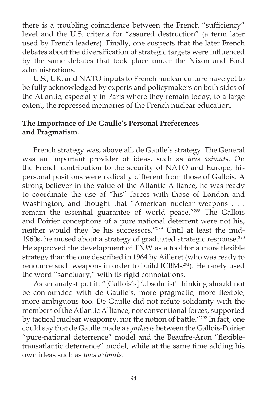there is a troubling coincidence between the French "sufficiency" level and the U.S. criteria for "assured destruction" (a term later used by French leaders). Finally, one suspects that the later French debates about the diversification of strategic targets were influenced by the same debates that took place under the Nixon and Ford administrations.

 U.S., UK, and NATO inputs to French nuclear culture have yet to be fully acknowledged by experts and policymakers on both sides of the Atlantic, especially in Paris where they remain today, to a large extent, the repressed memories of the French nuclear education.

# **The Importance of De Gaulle's Personal Preferences and Pragmatism.**

 French strategy was, above all, de Gaulle's strategy. The General was an important provider of ideas, such as *tous azimuts*. On the French contribution to the security of NATO and Europe, his personal positions were radically different from those of Gallois. A strong believer in the value of the Atlantic Alliance, he was ready to coordinate the use of "his" forces with those of London and Washington, and thought that "American nuclear weapons . . . remain the essential guarantee of world peace."<sup>288</sup> The Gallois and Poirier conceptions of a pure national deterrent were not his, neither would they be his successors."289 Until at least the mid-1960s, he mused about a strategy of graduated strategic response.<sup>290</sup> He approved the development of TNW as a tool for a more flexible strategy than the one described in 1964 by Ailleret (who was ready to renounce such weapons in order to build ICBMs<sup>291</sup>). He rarely used the word "sanctuary," with its rigid connotations.

 As an analyst put it: "[Gallois's] 'absolutist' thinking should not be confounded with de Gaulle's, more pragmatic, more flexible, more ambiguous too. De Gaulle did not refute solidarity with the members of the Atlantic Alliance, nor conventional forces, supported by tactical nuclear weaponry, nor the notion of battle."<sup>292</sup> In fact, one could say that de Gaulle made a *synthesis* between the Gallois-Poirier "pure-national deterrence" model and the Beaufre-Aron "flexibletransatlantic deterrence" model, while at the same time adding his own ideas such as *tous azimuts.*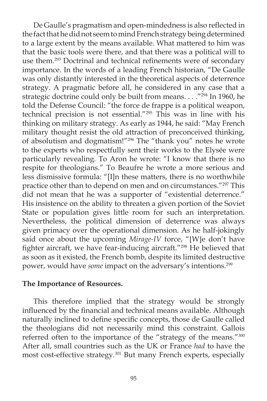De Gaulle's pragmatism and open-mindedness is also reflected in the fact that he did not seem to mind French strategy being determined to a large extent by the means available. What mattered to him was that the basic tools were there, and that there was a political will to use them.<sup>293</sup> Doctrinal and technical refinements were of secondary importance. In the words of a leading French historian, "De Gaulle was only distantly interested in the theoretical aspects of deterrence strategy. A pragmatic before all, he considered in any case that a strategic doctrine could only be built from means. . . . "<sup>294</sup> In 1960, he told the Defense Council: "the force de frappe is a political weapon, technical precision is not essential."295 This was in line with his thinking on military strategy. As early as 1944, he said: "May French military thought resist the old attraction of preconceived thinking, of absolutism and dogmatism!"296 The "thank you" notes he wrote to the experts who respectfully sent their works to the Elysée were particularly revealing. To Aron he wrote: "I know that there is no respite for theologians." To Beaufre he wrote a more serious and less dismissive formula: "[I]n these matters, there is no worthwhile practice other than to depend on men and on circumstances."297 This did not mean that he was a supporter of "existential deterrence." His insistence on the ability to threaten a given portion of the Soviet State or population gives little room for such an interpretation. Nevertheless, the political dimension of deterrence was always given primacy over the operational dimension. As he half-jokingly said once about the upcoming *Mirage-IV* force, "[W]e don't have fighter aircraft, we have fear-inducing aircraft."<sup>298</sup> He believed that as soon as it existed, the French bomb, despite its limited destructive power, would have *some* impact on the adversary's intentions.299

#### **The Importance of Resources.**

 This therefore implied that the strategy would be strongly influenced by the financial and technical means available. Although naturally inclined to define specific concepts, those de Gaulle called the theologians did not necessarily mind this constraint. Gallois referred often to the importance of the "strategy of the means."300 After all, small countries such as the UK or France *had* to have the most cost-effective strategy.<sup>301</sup> But many French experts, especially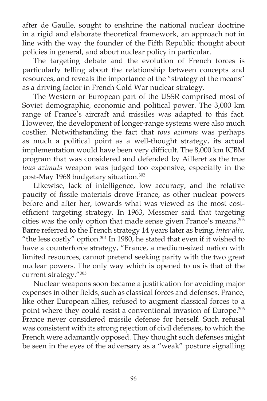after de Gaulle, sought to enshrine the national nuclear doctrine in a rigid and elaborate theoretical framework, an approach not in line with the way the founder of the Fifth Republic thought about policies in general, and about nuclear policy in particular.

 The targeting debate and the evolution of French forces is particularly telling about the relationship between concepts and resources, and reveals the importance of the "strategy of the means" as a driving factor in French Cold War nuclear strategy.

 The Western or European part of the USSR comprised most of Soviet demographic, economic and political power. The 3,000 km range of France's aircraft and missiles was adapted to this fact. However, the development of longer-range systems were also much costlier. Notwithstanding the fact that *tous azimuts* was perhaps as much a political point as a well-thought strategy, its actual implementation would have been very difficult. The 8,000 km ICBM program that was considered and defended by Ailleret as the true *tous azimuts* weapon was judged too expensive, especially in the post-May 1968 budgetary situation.<sup>302</sup>

 Likewise, lack of intelligence, low accuracy, and the relative paucity of fissile materials drove France, as other nuclear powers before and after her, towards what was viewed as the most costefficient targeting strategy. In 1963, Messmer said that targeting cities was the only option that made sense given France's means.<sup>303</sup> Barre referred to the French strategy 14 years later as being, *inter alia,* "the less costly" option. $304$  In 1980, he stated that even if it wished to have a counterforce strategy, "France, a medium-sized nation with limited resources, cannot pretend seeking parity with the two great nuclear powers. The only way which is opened to us is that of the current strategy."305

Nuclear weapons soon became a justification for avoiding major expenses in other fields, such as classical forces and defenses. France, like other European allies, refused to augment classical forces to a point where they could resist a conventional invasion of Europe.<sup>306</sup> France never considered missile defense for herself. Such refusal was consistent with its strong rejection of civil defenses, to which the French were adamantly opposed. They thought such defenses might be seen in the eyes of the adversary as a "weak" posture signalling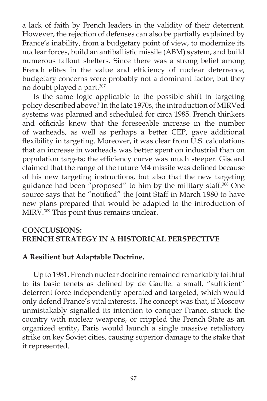a lack of faith by French leaders in the validity of their deterrent. However, the rejection of defenses can also be partially explained by France's inability, from a budgetary point of view, to modernize its nuclear forces, build an antiballistic missile (ABM) system, and build numerous fallout shelters. Since there was a strong belief among French elites in the value and efficiency of nuclear deterrence, budgetary concerns were probably not a dominant factor, but they no doubt played a part.307

Is the same logic applicable to the possible shift in targeting policy described above? In the late 1970s, the introduction of MIRVed systems was planned and scheduled for circa 1985. French thinkers and officials knew that the foreseeable increase in the number of warheads, as well as perhaps a better CEP, gave additional flexibility in targeting. Moreover, it was clear from U.S. calculations that an increase in warheads was better spent on industrial than on population targets; the efficiency curve was much steeper. Giscard claimed that the range of the future M4 missile was defined because of his new targeting instructions, but also that the new targeting guidance had been "proposed" to him by the military staff.<sup>308</sup> One source says that he "notified" the Joint Staff in March 1980 to have new plans prepared that would be adapted to the introduction of MIRV.309 This point thus remains unclear.

## **CONCLUSIONS: FRENCH STRATEGY IN A HISTORICAL PERSPECTIVE**

### **A Resilient but Adaptable Doctrine.**

 Up to 1981, French nuclear doctrine remained remarkably faithful to its basic tenets as defined by de Gaulle: a small, "sufficient" deterrent force independently operated and targeted, which would only defend France's vital interests. The concept was that, if Moscow unmistakably signalled its intention to conquer France, struck the country with nuclear weapons, or crippled the French State as an organized entity, Paris would launch a single massive retaliatory strike on key Soviet cities, causing superior damage to the stake that it represented.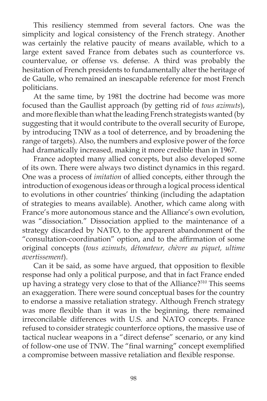This resiliency stemmed from several factors. One was the simplicity and logical consistency of the French strategy. Another was certainly the relative paucity of means available, which to a large extent saved France from debates such as counterforce vs. countervalue, or offense vs. defense. A third was probably the hesitation of French presidents to fundamentally alter the heritage of de Gaulle, who remained an inescapable reference for most French politicians.

 At the same time, by 1981 the doctrine had become was more focused than the Gaullist approach (by getting rid of *tous azimuts*), and more flexible than what the leading French strategists wanted (by suggesting that it would contribute to the overall security of Europe, by introducing TNW as a tool of deterrence, and by broadening the range of targets). Also, the numbers and explosive power of the force had dramatically increased, making it more credible than in 1967.

 France adopted many allied concepts, but also developed some of its own. There were always two distinct dynamics in this regard. One was a process of *imitation* of allied concepts, either through the introduction of exogenous ideas or through a logical process identical to evolutions in other countries' thinking (including the adaptation of strategies to means available). Another, which came along with France's more autonomous stance and the Alliance's own evolution, was "dissociation." Dissociation applied to the maintenance of a strategy discarded by NATO, to the apparent abandonment of the "consultation-coordination" option, and to the affirmation of some original concepts (*tous azimuts, détonateur, chèvre au piquet, ultime avertissement*).

Can it be said, as some have argued, that opposition to flexible response had only a political purpose, and that in fact France ended up having a strategy very close to that of the Alliance?<sup>310</sup> This seems an exaggeration. There were sound conceptual bases for the country to endorse a massive retaliation strategy. Although French strategy was more flexible than it was in the beginning, there remained irreconcilable differences with U.S. and NATO concepts. France refused to consider strategic counterforce options, the massive use of tactical nuclear weapons in a "direct defense" scenario, or any kind of follow-one use of TNW. The "final warning" concept exemplified a compromise between massive retaliation and flexible response.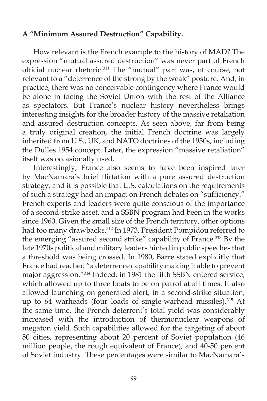# **A "Minimum Assured Destruction" Capability.**

 How relevant is the French example to the history of MAD? The expression "mutual assured destruction" was never part of French official nuclear rhetoric.<sup>311</sup> The "mutual" part was, of course, not relevant to a "deterrence of the strong by the weak" posture. And, in practice, there was no conceivable contingency where France would be alone in facing the Soviet Union with the rest of the Alliance as spectators. But France's nuclear history nevertheless brings interesting insights for the broader history of the massive retaliation and assured destruction concepts. As seen above, far from being a truly original creation, the initial French doctrine was largely inherited from U.S., UK, and NATO doctrines of the 1950s, including the Dulles 1954 concept. Later, the expression "massive retaliation" itself was occasionally used.

 Interestingly, France also seems to have been inspired later by MacNamara's brief flirtation with a pure assured destruction strategy, and it is possible that U.S. calculations on the requirements of such a strategy had an impact on French debates on "sufficiency." French experts and leaders were quite conscious of the importance of a second-strike asset, and a SSBN program had been in the works since 1960. Given the small size of the French territory, other options had too many drawbacks.<sup>312</sup> In 1973, President Pompidou referred to the emerging "assured second strike" capability of France.<sup>313</sup> By the late 1970s political and military leaders hinted in public speeches that a threshold was being crossed. In 1980, Barre stated explicitly that France had reached "a deterrence capability making it able to prevent major aggression."<sup>314</sup> Indeed, in 1981 the fifth SSBN entered service, which allowed up to three boats to be on patrol at all times. It also allowed launching on generated alert, in a second-strike situation, up to 64 warheads (four loads of single-warhead missiles). $315$  At the same time, the French deterrent's total yield was considerably increased with the introduction of thermonuclear weapons of megaton yield. Such capabilities allowed for the targeting of about 50 cities, representing about 20 percent of Soviet population (46 million people, the rough equivalent of France), and 40-50 percent of Soviet industry. These percentages were similar to MacNamara's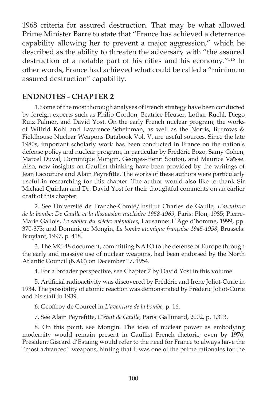1968 criteria for assured destruction. That may be what allowed Prime Minister Barre to state that "France has achieved a deterrence capability allowing her to prevent a major aggression," which he described as the ability to threaten the adversary with "the assured destruction of a notable part of his cities and his economy."316 In other words, France had achieved what could be called a "minimum assured destruction" capability.

#### **ENDNOTES - CHAPTER 2**

1. Some of the most thorough analyses of French strategy have been conducted by foreign experts such as Philip Gordon, Beatrice Heuser, Lothar Ruehl, Diego Ruiz Palmer, and David Yost. On the early French nuclear program, the works of Wilfrid Kohl and Lawrence Scheinman, as well as the Norris, Burrows & Fieldhouse Nuclear Weapons Databook Vol. V, are useful sources. Since the late 1980s, important scholarly work has been conducted in France on the nation's defense policy and nuclear program, in particular by Frédéric Bozo, Samy Cohen, Marcel Duval, Dominique Mongin, Georges-Henri Soutou, and Maurice Vaïsse. Also, new insights on Gaullist thinking have been provided by the writings of Jean Lacouture and Alain Peyrefitte. The works of these authors were particularly useful in researching for this chapter. The author would also like to thank Sir Michael Quinlan and Dr. David Yost for their thoughtful comments on an earlier draft of this chapter.

2. See Université de Franche-Comté/Institut Charles de Gaulle*, L'aventure de la bombe*: *De Gaulle et la dissuasion nucléaire 1958-1969*, Paris: Plon, 1985; Pierre-Marie Gallois, *Le sablier du siècle: mémoires*, Lausanne: L'Âge d'homme, 1999, pp. 370-373; and Dominique Mongin, *La bombe atomique française 1945-1958*, Brussels: Bruylant, 1997, p. 418.

3. The MC-48 document, committing NATO to the defense of Europe through the early and massive use of nuclear weapons, had been endorsed by the North Atlantic Council (NAC) on December 17, 1954.

4. For a broader perspective, see Chapter 7 by David Yost in this volume.

5. Artificial radioactivity was discovered by Frédéric and Irène Joliot-Curie in 1934. The possibility of atomic reaction was demonstrated by Frédéric Joliot-Curie and his staff in 1939.

6. Geoffroy de Courcel in *L'aventure de la bombe*, p. 16.

7. See Alain Peyrefitte, *C'était de Gaulle*, Paris: Gallimard, 2002, p. 1,313.

8. On this point, see Mongin. The idea of nuclear power as embodying modernity would remain present in Gaullist French rhetoric; even by 1976, President Giscard d'Estaing would refer to the need for France to always have the "most advanced" weapons, hinting that it was one of the prime rationales for the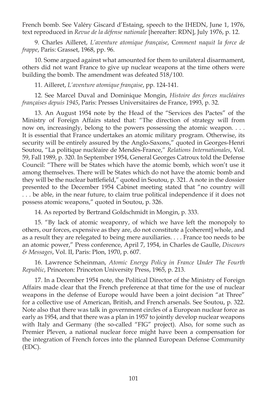French bomb. See Valéry Giscard d'Estaing, speech to the IHEDN, June 1, 1976, text reproduced in *Revue de la défense nationale* [hereafter: RDN], July 1976, p. 12.

9. Charles Ailleret, *L'aventure atomique française*, C*omment naquit la force de frappe*, Paris: Grasset, 1968, pp. 96.

10. Some argued against what amounted for them to unilateral disarmament, others did not want France to give up nuclear weapons at the time others were building the bomb. The amendment was defeated 518/100.

11. Ailleret, *L'aventure atomique française*, pp. 124-141.

12. See Marcel Duval and Dominique Mongin, *Histoire des forces nucléaires françaises depuis 1945*, Paris: Presses Universitaires de France, 1993, p. 32.

13. An August 1954 note by the Head of the "Services des Pactes" of the Ministry of Foreign Affairs stated that: "The direction of strategy will from now on, increasingly, belong to the powers possessing the atomic weapon. . . . It is essential that France undertakes an atomic military program. Otherwise, its security will be entirely assured by the Anglo-Saxons," quoted in Georges-Henri Soutou, "La politique nucléaire de Mendès-France," *Relations Internationales*, Vol. 59, Fall 1989, p. 320. In September 1954, General Georges Catroux told the Defense Council: "There will be States which have the atomic bomb, which won't use it among themselves. There will be States which do not have the atomic bomb and they will be the nuclear battlefield," quoted in Soutou, p. 321. A note in the dossier presented to the December 1954 Cabinet meeting stated that "no country will . . . be able, in the near future, to claim true political independence if it does not possess atomic weapons," quoted in Soutou, p. 326.

14. As reported by Bertrand Goldschmidt in Mongin, p. 333.

15. "By lack of atomic weaponry, of which we have left the monopoly to others, our forces, expensive as they are, do not constitute a [coherent] whole, and as a result they are relegated to being mere auxiliaries. . . . France too needs to be an atomic power," Press conference, April 7, 1954, in Charles de Gaulle, *Discours & Messages*, Vol. II, Paris: Plon, 1970, p. 607.

16. Lawrence Scheinman, *Atomic Energy Policy in France Under The Fourth Republic*, Princeton: Princeton University Press, 1965, p. 213.

17. In a December 1954 note, the Political Director of the Ministry of Foreign Affairs made clear that the French preference at that time for the use of nuclear weapons in the defense of Europe would have been a joint decision "at Three" for a collective use of American, British, and French arsenals. See Soutou, p. 322. Note also that there was talk in government circles of a European nuclear force as early as 1954, and that there was a plan in 1957 to jointly develop nuclear weapons with Italy and Germany (the so-called "FIG" project). Also, for some such as Premier Pleven, a national nuclear force might have been a compensation for the integration of French forces into the planned European Defense Community (EDC).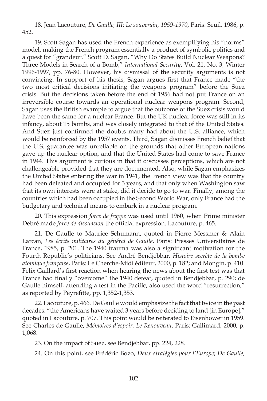18. Jean Lacouture, *De Gaulle, III: Le souverain, 1959-1970*, Paris: Seuil, 1986, p. 452.

19. Scott Sagan has used the French experience as exemplifying his "norms" model, making the French program essentially a product of symbolic politics and a quest for "grandeur." Scott D. Sagan, "Why Do States Build Nuclear Weapons? Three Models in Search of a Bomb," *International Security*, Vol. 21, No. 3, Winter 1996-1997, pp. 76-80. However, his dismissal of the security arguments is not convincing. In support of his thesis, Sagan argues first that France made "the two most critical decisions initiating the weapons program" before the Suez crisis. But the decisions taken before the end of 1956 had not put France on an irreversible course towards an operational nuclear weapons program. Second, Sagan uses the British example to argue that the outcome of the Suez crisis would have been the same for a nuclear France. But the UK nuclear force was still in its infancy, about 15 bombs, and was closely integrated to that of the United States. And Suez just confirmed the doubts many had about the U.S. alliance, which would be reinforced by the 1957 events. Third, Sagan dismisses French belief that the U.S. guarantee was unreliable on the grounds that other European nations gave up the nuclear option, and that the United States had come to save France in 1944. This argument is curious in that it discusses perceptions, which are not challengeable provided that they are documented. Also, while Sagan emphasizes the United States entering the war in 1941, the French view was that the country had been defeated and occupied for 3 years, and that only when Washington saw that its own interests were at stake, did it decide to go to war. Finally, among the countries which had been occupied in the Second World War, only France had the budgetary and technical means to embark in a nuclear program.

20. This expression *force de frappe* was used until 1960, when Prime minister Debré made *force de dissuasion* the official expression. Lacouture, p. 465.

21. De Gaulle to Maurice Schumann, quoted in Pierre Messmer & Alain Larcan, *Les écrits militaires du général de Gaulle*, Paris: Presses Universitaires de France, 1985, p. 201. The 1940 trauma was also a significant motivation for the Fourth Republic's politicians. See André Bendjebbar, *Histoire secrète de la bombe atomique française*, Paris: Le Cherche-Midi éditeur, 2000, p. 182; and Mongin, p. 410. Felix Gaillard's first reaction when hearing the news about the first test was that France had finally "overcome" the 1940 defeat, quoted in Bendjebbar, p. 290; de Gaulle himself, attending a test in the Pacific, also used the word "resurrection," as reported by Peyrefitte, pp. 1,352-1,353.

22. Lacouture, p. 466. De Gaulle would emphasize the fact that twice in the past decades, "the Americans have waited 3 years before deciding to land [in Europe]," quoted in Lacouture, p. 707. This point would be reiterated to Eisenhower in 1959. See Charles de Gaulle, *Mémoires d'espoir. Le Renouveau*, Paris: Gallimard, 2000, p. 1,068.

23. On the impact of Suez, see Bendjebbar, pp. 224, 228.

24. On this point, see Frédéric Bozo, *Deux stratégies pour l'Europe*; *De Gaulle,*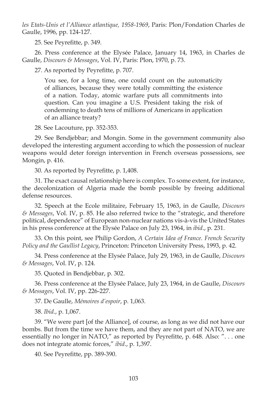*les Etats-Unis et l'Alliance atlantique, 1958-1969*, Paris: Plon/Fondation Charles de Gaulle, 1996, pp. 124-127.

25. See Peyrefitte, p. 349.

26. Press conference at the Elysée Palace, January 14, 1963, in Charles de Gaulle, *Discours & Messages*, Vol. IV, Paris: Plon, 1970, p. 73.

27. As reported by Peyrefitte, p. 707.

You see, for a long time, one could count on the automaticity of alliances, because they were totally committing the existence of a nation. Today, atomic warfare puts all commitments into question. Can you imagine a U.S. President taking the risk of condemning to death tens of millions of Americans in application of an alliance treaty?

28. See Lacouture, pp. 352-353.

29. See Bendjebbar; and Mongin. Some in the government community also developed the interesting argument according to which the possession of nuclear weapons would deter foreign intervention in French overseas possessions, see Mongin, p. 416.

30. As reported by Peyrefitte, p. 1,408.

31. The exact causal relationship here is complex. To some extent, for instance, the decolonization of Algeria made the bomb possible by freeing additional defense resources.

32. Speech at the Ecole militaire, February 15, 1963, in de Gaulle, *Discours & Messages*, Vol. IV, p. 85. He also referred twice to the "strategic, and therefore political, dependence" of European non-nuclear nations vis-à-vis the United States in his press conference at the Elysée Palace on July 23, 1964, in *ibid*., p. 231.

33. On this point, see Philip Gordon, *A Certain Idea of France. French Security Policy and the Gaullist Legacy*, Princeton: Princeton University Press, 1993, p. 42.

34. Press conference at the Elysée Palace, July 29, 1963, in de Gaulle, *Discours & Messages*, Vol. IV, p. 124.

35. Quoted in Bendjebbar, p. 302.

36. Press conference at the Elysée Palace, July 23, 1964, in de Gaulle, *Discours & Messages*, Vol. IV, pp. 226-227.

37. De Gaulle, *Mémoires d'espoir*, p. 1,063.

38. *Ibid*., p. 1,067.

39. "We were part [of the Alliance], of course, as long as we did not have our bombs. But from the time we have them, and they are not part of NATO, we are essentially no longer in NATO," as reported by Peyrefitte, p. 648. Also: "... one does not integrate atomic forces," *ibid*., p. 1,397.

40. See Peyrefitte, pp. 389-390.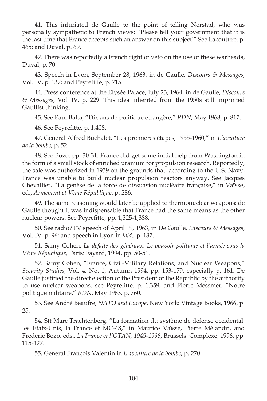41. This infuriated de Gaulle to the point of telling Norstad, who was personally sympathetic to French views: "Please tell your government that it is the last time that France accepts such an answer on this subject!" See Lacouture, p. 465; and Duval, p. 69.

42. There was reportedly a French right of veto on the use of these warheads, Duval, p. 70.

43. Speech in Lyon, September 28, 1963, in de Gaulle, *Discours & Messages*, Vol. IV, p. 137; and Peyrefitte, p. 715.

44. Press conference at the Elysée Palace, July 23, 1964, in de Gaulle, *Discours & Messages*, Vol. IV, p. 229. This idea inherited from the 1950s still imprinted Gaullist thinking.

45. See Paul Balta, "Dix ans de politique etrangère," *RDN*, May 1968, p. 817.

46. See Peyrefitte, p. 1,408.

47. General Alfred Buchalet, "Les premières étapes, 1955-1960," in *L'aventure de la bombe*, p. 52.

48. See Bozo, pp. 30-31. France did get some initial help from Washington in the form of a small stock of enriched uranium for propulsion research. Reportedly, the sale was authorized in 1959 on the grounds that, according to the U.S. Navy, France was unable to build nuclear propulsion reactors anyway. See Jacques Chevallier, "La genèse de la force de dissuasion nucléaire française," in Vaïsse, ed., *Armement et Vème République*, p. 286.

49. The same reasoning would later be applied to thermonuclear weapons: de Gaulle thought it was indispensable that France had the same means as the other nuclear powers. See Peyrefitte, pp. 1,325-1,388.

50. See radio/TV speech of April 19, 1963, in De Gaulle, *Discours & Messages*, Vol. IV, p. 96; and speech in Lyon in *ibid*., p. 137.

51. Samy Cohen, *La défaite des généraux. Le pouvoir politique et l'armée sous la Vème République*, Paris: Fayard, 1994, pp. 50-51.

52. Samy Cohen, "France, Civil-Military Relations, and Nuclear Weapons," *Security Studies*, Vol. 4, No. 1, Autumn 1994, pp. 153-179, especially p. 161. De Gaulle justified the direct election of the President of the Republic by the authority to use nuclear weapons, see Peyrefitte, p. 1,359; and Pierre Messmer, "Notre politique militaire," *RDN*, May 1963, p. 760.

53. See André Beaufre, *NATO and Europe*, New York: Vintage Books, 1966, p. 25.

54. Stt Marc Trachtenberg, "La formation du système de défense occidental: les Etats-Unis, la France et MC-48," in Maurice Vaïsse, Pierre Mélandri, and Frédéric Bozo, eds., *La France et l'OTAN, 1949-1996*, Brussels: Complexe, 1996, pp. 115-127.

55. General François Valentin in *L'aventure de la bombe*, p. 270.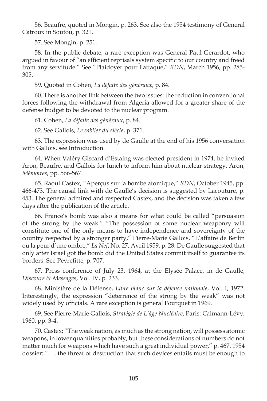56. Beaufre, quoted in Mongin, p. 263. See also the 1954 testimony of General Catroux in Soutou, p. 321.

57. See Mongin, p. 251.

58. In the public debate, a rare exception was General Paul Gerardot, who argued in favour of "an efficient reprisals system specific to our country and freed from any servitude." See "Plaidoyer pour l'attaque," *RDN*, March 1956, pp. 285- 305.

59. Quoted in Cohen, *La défaite des généraux*, p. 84.

60. There is another link between the two issues: the reduction in conventional forces following the withdrawal from Algeria allowed for a greater share of the defense budget to be devoted to the nuclear program.

61. Cohen, *La défaite des généraux*, p. 84.

62. See Gallois, *Le sablier du siècle*, p. 371.

63. The expression was used by de Gaulle at the end of his 1956 conversation with Gallois, see Introduction.

64. When Valéry Giscard d'Estaing was elected president in 1974, he invited Aron, Beaufre, and Gallois for lunch to inform him about nuclear strategy, Aron, *Mémoires*, pp. 566-567.

65. Raoul Castex, "Aperçus sur la bombe atomique," *RDN*, October 1945, pp. 466-473. The causal link with de Gaulle's decision is suggested by Lacouture, p. 453. The general admired and respected Castex, and the decision was taken a few days after the publication of the article.

66. France's bomb was also a means for what could be called "persuasion of the strong by the weak." "The possession of some nuclear weaponry will constitute one of the only means to have independence and sovereignty of the country respected by a stronger party," Pierre-Marie Gallois, "L'affaire de Berlin ou la peur d'une ombre," *La Nef*, No. 27, Avril 1959, p. 28. De Gaulle suggested that only after Israel got the bomb did the United States commit itself to guarantee its borders. See Peyrefitte, p. 707.

67. Press conference of July 23, 1964, at the Elysée Palace, in de Gaulle, *Discours & Messages*, Vol. IV, p. 233.

68. Ministère de la Défense, *Livre blanc sur la défense nationale*, Vol. I, 1972. Interestingly, the expression "deterrence of the strong by the weak" was not widely used by officials. A rare exception is general Fourquet in 1969.

69. See Pierre-Marie Gallois, *Stratégie de L'âge Nucléaire*, Paris: Calmann-Lévy, 1960, pp. 3-4.

70. Castex: "The weak nation, as much as the strong nation, will possess atomic weapons, in lower quantities probably, but these considerations of numbers do not matter much for weapons which have such a great individual power," p. 467. 1954 dossier: ". . . the threat of destruction that such devices entails must be enough to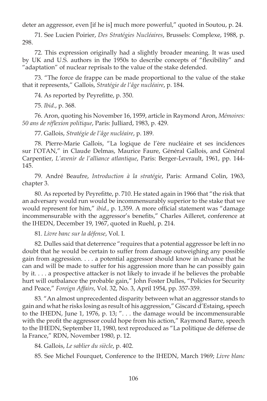deter an aggressor, even [if he is] much more powerful," quoted in Soutou, p. 24.

71. See Lucien Poirier, *Des Stratégies Nucléaires*, Brussels: Complexe, 1988, p. 298.

72. This expression originally had a slightly broader meaning. It was used by UK and U.S. authors in the 1950s to describe concepts of "flexibility" and "adaptation" of nuclear reprisals to the value of the stake defended.

73. "The force de frappe can be made proportional to the value of the stake that it represents," Gallois, *Stratégie de l'âge nucléaire*, p. 184.

74. As reported by Peyrefitte, p. 350.

75. *Ibid*., p. 368.

76. Aron, quoting his November 16, 1959, article in Raymond Aron, *Mémoires: 50 ans de réfl exion politique*, Paris: Julliard, 1983, p. 429.

77. Gallois, *Stratégie de l'âge nucléaire*, p. 189.

78. Pïerre-Marie Gallois, "La logique de l'ère nucléaire et ses incidences sur l'OTAN," in Claude Delmas, Maurice Faure, Général Gallois, and Général Carpentier, *L'avenir de l'alliance atlantique*, Paris: Berger-Levrault, 1961, pp. 144- 145.

79. André Beaufre, *Introduction à la stratégie*, Paris: Armand Colin, 1963, chapter 3.

80. As reported by Peyrefitte, p. 710. He stated again in 1966 that "the risk that an adversary would run would be incommensurably superior to the stake that we would represent for him," *ibid.*, p. 1,359. A more official statement was "damage incommensurable with the aggressor's benefits," Charles Ailleret, conference at the IHEDN, December 19, 1967, quoted in Ruehl, p. 214.

81. *Livre banc sur la défense*, Vol. I.

82. Dulles said that deterrence "requires that a potential aggressor be left in no doubt that he would be certain to suffer from damage outweighing any possible gain from aggression. . . . a potential aggressor should know in advance that he can and will be made to suffer for his aggression more than he can possibly gain by it. . . . a prospective attacker is not likely to invade if he believes the probable hurt will outbalance the probable gain," John Foster Dulles, "Policies for Security and Peace," *Foreign Affairs*, Vol. 32, No. 3, April 1954, pp. 357-359.

83. "An almost unprecedented disparity between what an aggressor stands to gain and what he risks losing as result of his aggression," Giscard d'Estaing, speech to the IHEDN, June 1, 1976, p. 13; ". . . the damage would be incommensurable with the profit the aggressor could hope from his action," Raymond Barre, speech to the IHEDN, September 11, 1980, text reproduced as "La politique de défense de la France," RDN, November 1980, p. 12.

84. Gallois, *Le sablier du siècle*, p. 402.

85. See Michel Fourquet, Conference to the IHEDN, March 1969; *Livre blanc*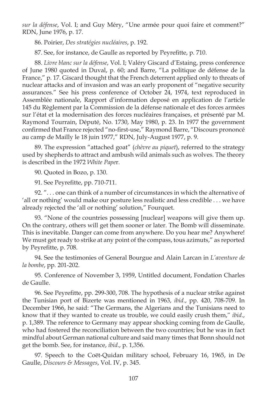*sur la défense*, Vol. I; and Guy Méry, "Une armée pour quoi faire et comment?" RDN, June 1976, p. 17.

86. Poirier, *Des stratégies nucléaires*, p. 192.

87. See, for instance, de Gaulle as reported by Peyrefitte, p. 710.

88. *Livre blanc sur la défense*, Vol. I; Valéry Giscard d'Estaing, press conference of June 1980 quoted in Duval, p. 60; and Barre, "La politique de défense de la France," p. 17. Giscard thought that the French deterrent applied only to threats of nuclear attacks and of invasion and was an early proponent of "negative security assurances." See his press conference of October 24, 1974, text reproduced in Assemblée nationale, Rapport d'information deposé en application de l'article 145 du Règlement par la Commission de la défense nationale et des forces armées sur l'état et la modernisation des forces nucléaires françaises, et présenté par M. Raymond Tourrain, Député, No. 1730, May 1980, p. 23. In 1977 the government confirmed that France rejected "no-first-use," Raymond Barre, "Discours prononcé au camp de Mailly le 18 juin 1977," RDN, July-August 1977, p. 9.

89. The expression "attached goat" (*chèvre au piquet*), referred to the strategy used by shepherds to attract and ambush wild animals such as wolves. The theory is described in the 1972 *White Pape*r.

90. Quoted in Bozo, p. 130.

91. See Peyrefitte, pp. 710-711.

92. ". . . one can think of a number of circumstances in which the alternative of 'all or nothing' would make our posture less realistic and less credible . . . we have already rejected the 'all or nothing' solution," Fourquet.

93. "None of the countries possessing [nuclear] weapons will give them up. On the contrary, others will get them sooner or later. The Bomb will disseminate. This is inevitable. Danger can come from anywhere. Do you hear me? Anywhere! We must get ready to strike at any point of the compass, tous azimuts," as reported by Peyrefitte, p. 708.

94. See the testimonies of General Bourgue and Alain Larcan in *L'aventure de la bombe*, pp. 201-202.

95. Conference of November 3, 1959, Untitled document, Fondation Charles de Gaulle.

96. See Peyrefitte, pp. 299-300, 708. The hypothesis of a nuclear strike against the Tunisian port of Bizerte was mentioned in 1963, *ibid*., pp. 420, 708-709. In December 1966, he said: "The Germans, the Algerians and the Tunisians need to know that if they wanted to create us trouble, we could easily crush them," *ibid*., p. 1,389. The reference to Germany may appear shocking coming from de Gaulle, who had fostered the reconciliation between the two countries; but he was in fact mindful about German national culture and said many times that Bonn should not get the bomb. See, for instance, *ibid*., p. 1,356.

97. Speech to the Coët-Quidan military school, February 16, 1965, in De Gaulle, *Discours & Messages*, Vol. IV, p. 345.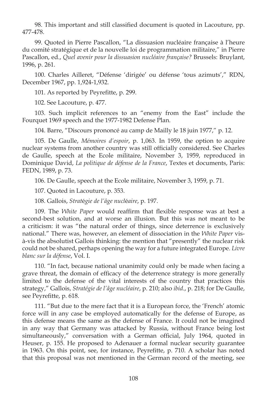98. This important and still classified document is quoted in Lacouture, pp. 477-478.

99. Quoted in Pierre Pascallon, "La dissuasion nucléaire française à l'heure du comité stratégique et de la nouvelle loi de programmation militaire," in Pierre Pascallon, ed., *Quel avenir pour la dissuasion nucléaire française?* Brussels: Bruylant, 1996, p. 261.

100. Charles Ailleret, "Défense 'dirigée' ou défense 'tous azimuts'," RDN, December 1967, pp. 1,924-1,932.

101. As reported by Peyrefitte, p. 299.

102. See Lacouture, p. 477.

103. Such implicit references to an "enemy from the East" include the Fourquet 1969 speech and the 1977-1982 Defense Plan.

104. Barre, "Discours prononcé au camp de Mailly le 18 juin 1977," p. 12.

105. De Gaulle, *Mémoires d'espoir* , p. 1,063. In 1959, the option to acquire nuclear systems from another country was still officially considered. See Charles de Gaulle, speech at the Ecole militaire, November 3, 1959, reproduced in Dominique David, *La politique de défense de la France*, Textes et documents, Paris: FEDN, 1989, p. 73.

106. De Gaulle, speech at the Ecole militaire, November 3, 1959, p. 71.

107. Quoted in Lacouture, p. 353.

108. Gallois, *Strat*é*gie de l'âge nucl*é*aire*, p. 197.

109. The *White Paper* would reaffirm that flexible response was at best a second-best solution, and at worse an illusion. But this was not meant to be a criticism: it was "the natural order of things, since deterrence is exclusively national." There was, however, an element of dissociation in the *White Paper* visà-vis the absolutist Gallois thinking: the mention that "presently" the nuclear risk could not be shared, perhaps opening the way for a future integrated Europe. *Livre blanc sur la défense*, Vol. I.

110. "In fact, because national unanimity could only be made when facing a grave threat, the domain of efficacy of the deterrence strategy is more generally limited to the defense of the vital interests of the country that practices this strategy," Gallois, *Stratégie de l'âge nucléaire*, p. 210; also *ibid*., p. 218; for De Gaulle, see Peyrefitte, p. 618.

111. "But due to the mere fact that it is a European force, the 'French' atomic force will in any case be employed automatically for the defense of Europe, as this defense means the same as the defense of France. It could not be imagined in any way that Germany was attacked by Russia, without France being lost simultaneously," conversation with a German official, July 1964, quoted in Heuser, p. 155. He proposed to Adenauer a formal nuclear security guarantee in 1963. On this point, see, for instance, Peyrefitte, p. 710. A scholar has noted that this proposal was not mentioned in the German record of the meeting, see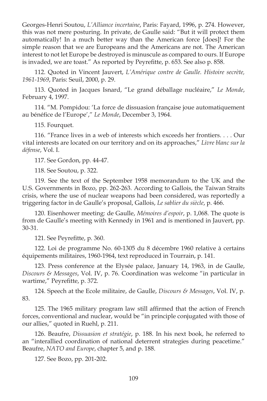Georges-Henri Soutou, *L'Alliance incertaine*, Paris: Fayard, 1996, p. 274. However, this was not mere posturing. In private, de Gaulle said: "But it will protect them automatically! In a much better way than the American force [does]! For the simple reason that we are Europeans and the Americans are not. The American interest to not let Europe be destroyed is minuscule as compared to ours. If Europe is invaded, we are toast." As reported by Peyrefitte, p. 653. See also p. 858.

112. Quoted in Vincent Jauvert, *L'Amérique contre de Gaulle. Histoire secrète, 1961-1969*, Paris: Seuil, 2000, p. 29.

113. Quoted in Jacques Isnard, "Le grand déballage nucléaire," *Le Monde*, February 4, 1997.

114. "M. Pompidou: 'La force de dissuasion française joue automatiquement au bénéfice de l'Europe'," Le Monde, December 3, 1964.

115. Fourquet.

116. "France lives in a web of interests which exceeds her frontiers. . . . Our vital interests are located on our territory and on its approaches," *Livre blanc sur la défense*, Vol. I.

117. See Gordon, pp. 44-47.

118. See Soutou, p. 322.

119. See the text of the September 1958 memorandum to the UK and the U.S. Governments in Bozo, pp. 262-263. According to Gallois, the Taiwan Straits crisis, where the use of nuclear weapons had been considered, was reportedly a triggering factor in de Gaulle's proposal, Gallois, *Le sablier du siècle*, p. 466.

120. Eisenhower meeting: de Gaulle, *Mémoires d'espoir*, p. 1,068. The quote is from de Gaulle's meeting with Kennedy in 1961 and is mentioned in Jauvert, pp. 30-31.

121. See Peyrefitte, p. 360.

122. Loi de programme No. 60-1305 du 8 décembre 1960 relative à certains équipements militaires, 1960-1964, text reproduced in Tourrain, p. 141.

123. Press conference at the Elysée palace, January 14, 1963, in de Gaulle, *Discours & Messages*, Vol. IV, p. 76. Coordination was welcome "in particular in wartime," Peyrefitte, p. 372.

124. Speech at the Ecole militaire, de Gaulle, *Discours & Messages*, Vol. IV, p. 83.

125. The 1965 military program law still affirmed that the action of French forces, conventional and nuclear, would be "in principle conjugated with those of our allies," quoted in Ruehl, p. 211.

126. Beaufre, *Dissuasion et stratégie*, p. 188. In his next book, he referred to an "interallied coordination of national deterrent strategies during peacetime." Beaufre, *NATO and Europe*, chapter 5, and p. 188.

127. See Bozo, pp. 201-202.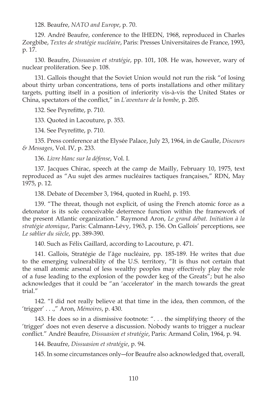128. Beaufre, *NATO and Europe*, p. 70.

129. André Beaufre, conference to the IHEDN, 1968, reproduced in Charles Zorgbibe, *Textes de stratégie nucléaire*, Paris: Presses Universitaires de France, 1993, p. 17.

130. Beaufre, *Dissuasion et stratégie*, pp. 101, 108. He was, however, wary of nuclear proliferation. See p. 108.

131. Gallois thought that the Soviet Union would not run the risk "of losing about thirty urban concentrations, tens of ports installations and other military targets, putting itself in a position of inferiority vis-à-vis the United States or China, spectators of the conflict," in *L'aventure de la bombe*, p. 205.

132. See Peyrefitte, p. 710.

133. Quoted in Lacouture, p. 353.

134. See Peyrefitte, p. 710.

135. Press conference at the Elysée Palace, July 23, 1964, in de Gaulle, *Discours & Messages*, Vol. IV, p. 233.

136. *Livre blanc sur la défense*, Vol. I.

137. Jacques Chirac, speech at the camp de Mailly, February 10, 1975, text reproduced as "Au sujet des armes nucléaires tactiques françaises," RDN, May 1975, p. 12.

138. Debate of December 3, 1964, quoted in Ruehl, p. 193.

139. "The threat, though not explicit, of using the French atomic force as a detonator is its sole conceivable deterrence function within the framework of the present Atlantic organization." Raymond Aron, *Le grand débat. Initiation à la stratégie atomique*, Paris: Calmann-Lévy, 1963, p. 156. On Gallois' perceptions, see *Le sablier du siècle*, pp. 389-390.

140. Such as Félix Gaillard, according to Lacouture, p. 471.

141. Gallois, Stratégie de l'âge nucléaire, pp. 185-189. He writes that due to the emerging vulnerability of the U.S. territory, "It is thus not certain that the small atomic arsenal of less wealthy peoples may effectively play the role of a fuse leading to the explosion of the powder keg of the Greats"; but he also acknowledges that it could be "an 'accelerator' in the march towards the great trial."

142. "I did not really believe at that time in the idea, then common, of the 'trigger' . . .," Aron, *Mémoires*, p. 430.

143. He does so in a dismissive footnote: ". . . the simplifying theory of the 'trigger' does not even deserve a discussion. Nobody wants to trigger a nuclear confl ict." André Beaufre, *Dissuasion et stratégie*, Paris: Armand Colin, 1964, p. 94.

144. Beaufre, *Dissuasion et stratégie*, p. 94.

145. In some circumstances only―for Beaufre also acknowledged that, overall,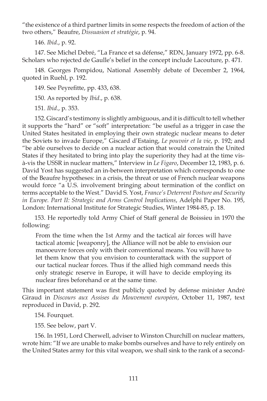"the existence of a third partner limits in some respects the freedom of action of the two others," Beaufre, *Dissuasion et stratégie*, p. 94.

146. *Ibid*., p. 92.

147. See Michel Debré, "La France et sa défense," RDN, January 1972, pp. 6-8. Scholars who rejected de Gaulle's belief in the concept include Lacouture, p. 471.

148. Georges Pompidou, National Assembly debate of December 2, 1964, quoted in Ruehl, p. 192.

149. See Peyrefitte, pp. 433, 638.

150. As reported by *Ibid*., p. 638.

151. *Ibid*., p. 353.

152. Giscard's testimony is slightly ambiguous, and it is difficult to tell whether it supports the "hard" or "soft" interpretation: "be useful as a trigger in case the United States hesitated in employing their own strategic nuclear means to deter the Soviets to invade Europe," Giscard d'Estaing, *Le pouvoir et la vie*, p. 192; and "be able ourselves to decide on a nuclear action that would constrain the United States if they hesitated to bring into play the superiority they had at the time visà-vis the USSR in nuclear matters," Interview in *Le Figaro*, December 12, 1983, p. 6. David Yost has suggested an in-between interpretation which corresponds to one of the Beaufre hypotheses: in a crisis, the threat or use of French nuclear weapons would force "a U.S. involvement bringing about termination of the conflict on terms acceptable to the West." David S. Yost, *France's Deterrent Posture and Security in Europe. Part II: Strategic and Arms Control Implications*, Adelphi Paper No. 195, London: International Institute for Strategic Studies, Winter 1984-85, p. 18.

153. He reportedly told Army Chief of Staff general de Boissieu in 1970 the following:

From the time when the 1st Army and the tactical air forces will have tactical atomic [weaponry], the Alliance will not be able to envision our manoeuvre forces only with their conventional means. You will have to let them know that you envision to counterattack with the support of our tactical nuclear forces. Thus if the allied high command needs this only strategic reserve in Europe, it will have to decide employing its nuclear fires beforehand or at the same time.

This important statement was first publicly quoted by defense minister André Giraud in *Discours aux Assises du Mouvement européen*, October 11, 1987, text reproduced in David, p. 292.

154. Fourquet.

155. See below, part V.

156. In 1951, Lord Cherwell, adviser to Winston Churchill on nuclear matters, wrote him: "If we are unable to make bombs ourselves and have to rely entirely on the United States army for this vital weapon, we shall sink to the rank of a second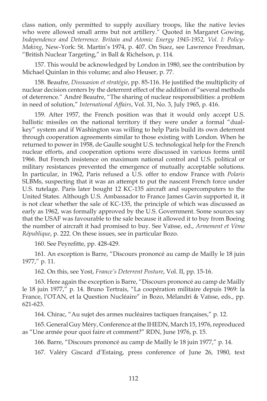class nation, only permitted to supply auxiliary troops, like the native levies who were allowed small arms but not artillery." Quoted in Margaret Gowing, *Independence and Deterrence. Britain and Atomic Energy 1945-1952, Vol. I: Policy-Making*, New-York: St. Martin's 1974, p. 407. On Suez, see Lawrence Freedman, "British Nuclear Targeting," in Ball & Richelson, p. 114.

157. This would be acknowledged by London in 1980, see the contribution by Michael Quinlan in this volume; and also Heuser, p. 77.

158. Beaufre, *Dissuasion et stratégie*, pp. 85-116. He justified the multiplicity of nuclear decision centers by the deterrent effect of the addition of "several methods of deterrence." André Beaufre, "The sharing of nuclear responsibilities: a problem in need of solution," *International Affairs*, Vol. 31, No. 3, July 1965, p. 416.

159. After 1957, the French position was that it would only accept U.S. ballistic missiles on the national territory if they were under a formal "dualkey" system and if Washington was willing to help Paris build its own deterrent through cooperation agreements similar to those existing with London. When he returned to power in 1958, de Gaulle sought U.S. technological help for the French nuclear efforts, and cooperation options were discussed in various forms until 1966. But French insistence on maximum national control and U.S. political or military resistances prevented the emergence of mutually acceptable solutions. In particular, in 1962, Paris refused a U.S. offer to endow France with *Polaris* SLBMs, suspecting that it was an attempt to put the nascent French force under U.S. tutelage. Paris later bought 12 KC-135 aircraft and supercomputers to the United States. Although U.S. Ambassador to France James Gavin supported it, it is not clear whether the sale of KC-135, the principle of which was discussed as early as 1962, was formally approved by the U.S. Government. Some sources say that the USAF was favourable to the sale because it allowed it to buy from Boeing the number of aircraft it had promised to buy. See Vaïsse, ed., *Armement et Vème République*, p. 222. On these issues, see in particular Bozo.

160. See Peyrefitte, pp. 428-429.

161. An exception is Barre, "Discours prononcé au camp de Mailly le 18 juin 1977," p. 11.

162. On this, see Yost, *France's Deterrent Posture*, Vol. II, pp. 15-16.

163. Here again the exception is Barre, "Discours prononcé au camp de Mailly le 18 juin 1977," p. 14. Bruno Tertrais, "La coopération militaire depuis 1969: la France, l'OTAN, et la Question Nucléaire" in Bozo, Mélandri & Vaïsse, eds., pp. 621-623.

164. Chirac, "Au sujet des armes nucléaires tactiques françaises," p. 12.

165. General Guy Méry, Conference at the IHEDN, March 15, 1976, reproduced as "Une armée pour quoi faire et comment?" RDN, June 1976, p. 15.

166. Barre, "Discours prononcé au camp de Mailly le 18 juin 1977," p. 14.

167. Valéry Giscard d'Estaing, press conference of June 26, 1980, text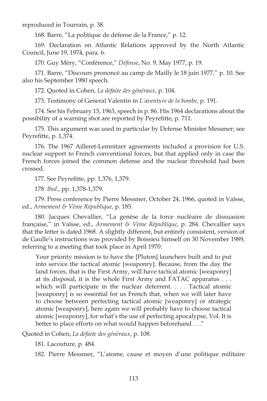reproduced in Tourrain, p. 38.

168. Barre, "La politique de défense de la France," p. 12.

169. Declaration on Atlantic Relations approved by the North Atlantic Council, June 19, 1974, para. 6.

170. Guy Méry, "Conférence," *Défense*, No. 9, May 1977, p. 19.

171. Barre, "Discours prononcé au camp de Mailly le 18 juin 1977," p. 10. See also his September 1980 speech.

172. Quoted in Cohen, *La défaite des généraux*, p. 104.

173. Testimony of General Valentin in *L'aventure de la bombe*, p. 191.

174. See his February 15, 1963, speech in p. 86. His 1964 declarations about the possibility of a warning shot are reported by Peyrefitte, p. 711.

175. This argument was used in particular by Defense Minister Messmer; see Peyrefitte, p. 1,374.

176. The 1967 Ailleret-Lemnitzer agreements included a provision for U.S. nuclear support to French conventional forces, but that applied only in case the French forces joined the common defense and the nuclear threshold had been crossed.

177. See Peyrefitte, pp. 1,376, 1,379.

178. *Ibid*., pp. 1,378-1,379.

179. Press conference by Pierre Messmer, October 24, 1966, quoted in Vaïsse, ed., *Armement & Vème République*, p. 185.

180. Jacques Chevallier, "La genèse de la force nucléaire de dissuasion française," in Vaïsse, ed., *Armement & Vème République*, p. 284. Chevallier says that the letter is dated 1968. A slightly different, but entirely consistent, version of de Gaulle's instructions was provided by Boissieu himself on 30 November 1989, referring to a meeting that took place in April 1970:

Your priority mission is to have the [Pluton] launchers built and to put into service the tactical atomic [weaponry]. Because, from the day the land forces, that is the First Army, will have tactical atomic [weaponry] at its disposal, it is the whole First Army and FATAC apparatus . . . which will participate in the nuclear deterrent. . . . Tactical atomic [weaponry] is so essential for us French that, when we will later have to choose between perfecting tactical atomic [weaponry] or strategic atomic [weaponry], here again we will probably have to choose tactical atomic [weaponry], for what's the use of perfecting apocalypse, Vol. It is better to place efforts on what would happen beforehand . . ."

Quoted in Cohen, *La défaite des généraux*, p. 108.

181. Lacouture, p. 484.

182. Pierre Messmer, "L'atome, cause et moyen d'une politique militaire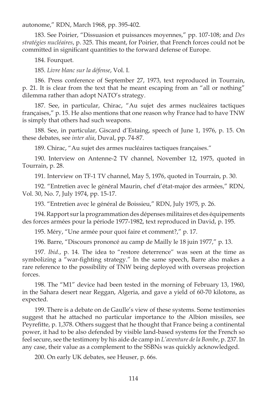autonome," RDN, March 1968, pp. 395-402.

183. See Poirier, "Dissuasion et puissances moyennes," pp. 107-108; and *Des stratégies nucléaires*, p. 325. This meant, for Poirier, that French forces could not be committed in significant quantities to the forward defense of Europe.

184. Fourquet.

185. *Livre blanc sur la défense*, Vol. I.

186. Press conference of September 27, 1973, text reproduced in Tourrain, p. 21. It is clear from the text that he meant escaping from an "all or nothing" dilemma rather than adopt NATO's strategy.

187. See, in particular, Chirac, "Au sujet des armes nucléaires tactiques françaises," p. 15. He also mentions that one reason why France had to have TNW is simply that others had such weapons.

188. See, in particular, Giscard d'Estaing, speech of June 1, 1976, p. 15. On these debates, see *inter alia*, Duval, pp. 74-87.

189. Chirac, "Au sujet des armes nucléaires tactiques françaises."

190. Interview on Antenne-2 TV channel, November 12, 1975, quoted in Tourrain, p. 28.

191. Interview on TF-1 TV channel, May 5, 1976, quoted in Tourrain, p. 30.

192. "Entretien avec le général Maurin, chef d'état-major des armées," RDN, Vol. 30, No. 7, July 1974, pp. 15-17.

193. "Entretien avec le général de Boissieu," RDN, July 1975, p. 26.

194. Rapport sur la programmation des dépenses militaires et des équipements des forces armées pour la période 1977-1982, text reproduced in David, p. 195.

195. Méry, "Une armée pour quoi faire et comment?," p. 17.

196. Barre, "Discours prononcé au camp de Mailly le 18 juin 1977," p. 13.

197. *Ibid*., p. 14. The idea to "restore deterrence" was seen at the time as symbolizing a "war-fighting strategy." In the same speech, Barre also makes a rare reference to the possibility of TNW being deployed with overseas projection forces.

198. The "M1" device had been tested in the morning of February 13, 1960, in the Sahara desert near Reggan, Algeria, and gave a yield of 60-70 kilotons, as expected.

199. There is a debate on de Gaulle's view of these systems. Some testimonies suggest that he attached no particular importance to the Albion missiles, see Peyrefitte, p. 1,378. Others suggest that he thought that France being a continental power, it had to be also defended by visible land-based systems for the French so feel secure, see the testimony by his aide de camp in *L'aventure de la Bombe*, p. 237. In any case, their value as a complement to the SSBNs was quickly acknowledged.

200. On early UK debates, see Heuser, p. 66s.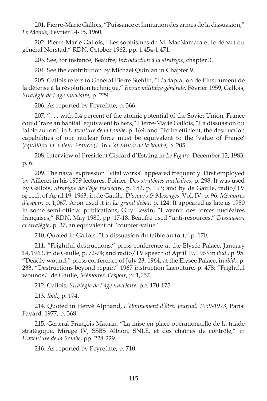201. Pierre-Marie Gallois, "Puissance et limitation des armes de la dissuasion," *Le Monde*, Février 14-15, 1960.

202. Pierre-Marie Gallois, "Les sophismes de M. MacNamara et le départ du général Norstad," RDN, October 1962, pp. 1,454-1,471.

203. See, for instance, Beaufre, *Introduction à la stratégie*, chapter 3.

204. See the contribution by Michael Quinlan in Chapter 9.

205. Gallois refers to General Pierre Stehlin, "L'adaptation de l'instrument de la défense à la révolution technique," *Revue militaire générale*, Février 1959, Gallois, *Stratégie de l'âge nucléaire*, p. 229.

206. As reported by Peyrefitte, p. 366.

207. ". . . with 0.4 percent of the atomic potential of the Soviet Union, France could 'raze an habitat' equivalent to hers," Pierre-Marie Gallois, "La dissuasion du faible au fort" in *L'aventure de la bombe*, p. 169; and "To be efficient, the destruction capabilities of our nuclear force must be equivalent to the 'value of France' (*équilibrer la 'valeur France'*)," in *L'aventure de la bombe*, p. 205.

208. Interview of President Giscard d'Estaing in *Le Figaro*, December 12, 1983, p. 6.

209. The naval expression "vital works" appeared frequently. First employed by Ailleret in his 1959 lectures, Poirier, *Des stratégies nucléaires*, p. 298. It was used by Gallois, *Stratégie de l'âge nucléaire*, p. 182, p. 193; and by de Gaulle, radio/TV speech of April 19, 1963, in de Gaulle, *Discours & Messages*, Vol. IV, p. 96; *Mémoires d'espoir* , p. 1,067. Aron used it in *Le grand débat*, p. 124. It appeared as late as 1980 in some semi-official publications, Guy Lewin, "L'avenir des forces nucléaires françaises," RDN, May 1980, pp. 17-18. Beaufre used "anti-resources," *Dissuasion et stratégie*, p. 37, an equivalent of "counter-value."

210. Quoted in Gallois, "La dissuasion du faible au fort," p. 170.

211. "Frightful destructions," press conference at the Elysée Palace, January 14, 1963, in de Gaulle, p. 72-74; and radio/TV speech of April 19, 1963 in *ibid*., p. 95. "Deadly wound," press conference of July 23, 1964, at the Elysée Palace, in *ibid*., p. 233. "Destructions beyond repair," 1967 instruction Lacouture, p. 478; "Frightful wounds," de Gaulle, *Mémoires d'espoir*, p. 1,057.

212. Gallois, *Stratégie de l'âge nucléaire*, pp. 170-175.

213. *Ibid*., p. 174.

214. Quoted in Hervé Alphand, *L'étonnement d'être. Journal, 1939-1973*, Paris: Fayard, 1977, p. 368.

215. General François Maurin, "La mise en place opérationnelle de la triade stratégique, Mirage IV, SSBS Albion, SNLE, et des chaînes de contrôle," in *L'aventure de la Bombe*, pp. 228-229.

216. As reported by Peyrefitte, p. 710.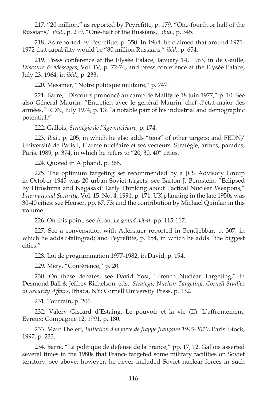217. "20 million," as reported by Peyrefitte, p. 179. "One-fourth or half of the Russians," *ibid*., p. 299. "One-half of the Russians," *ibid*., p. 345.

218. As reported by Peyrefitte, p. 350. In 1964, he claimed that around 1971-1972 that capability would be "80 million Russians," *ibid*., p. 654.

219. Press conference at the Elysée Palace, January 14, 1963, in de Gaulle, *Discours & Messages*, Vol. IV, p. 72-74; and press conference at the Elysée Palace, July 23, 1964, in *ibid*., p. 233.

220. Messmer, "Notre politique militaire," p. 747.

221. Barre, "Discours prononcé au camp de Mailly le 18 juin 1977," p. 10. See also Général Maurin, "Entretien avec le général Maurin, chef d'état-major des armées," RDN, July 1974, p. 13: "a notable part of his industrial and demographic potential."

222. Gallois, *Stratégie de l'âge nucléaire*, p. 174.

223. *Ibid*., p. 205, in which he also adds "tens" of other targets; and FEDN/ Université de Paris I, L'arme nucléaire et ses vecteurs. Stratégie, armes, parades, Paris, 1989, p. 374, in which he refers to "20, 30, 40" cities.

224. Quoted in Alphand, p. 368.

225. The optimum targeting set recommended by a JCS Advisory Group in October 1945 was 20 urban Soviet targets, see Barton J. Bernstein, "Eclipsed by Hiroshima and Nagasaki: Early Thinking about Tactical Nuclear Weapons," *International Security*, Vol. 15, No. 4, 1991, p. 171. UK planning in the late 1950s was 30-40 cities; see Heuser, pp. 67, 73; and the contribution by Michael Quinlan in this volume.

226. On this point, see Aron, *Le grand débat*, pp. 115-117.

227. See a conversation with Adenauer reported in Bendjebbar, p. 307, in which he adds Stalingrad; and Peyrefitte, p. 654, in which he adds "the biggest cities."

228. Loi de programmation 1977-1982, in David, p. 194.

229. Méry, "Conférence," p. 20.

230. On these debates, see David Yost, "French Nuclear Targeting," in Desmond Ball & Jeffrey Richelson, eds., *Strategic Nuclear Targeting, Cornell Studies in Security Affairs*, Ithaca, NY: Cornell University Press, p. 132.

231. Tourrain, p. 206.

232. Valéry Giscard d'Estaing, Le pouvoir et la vie (II). L'affrontement, Evreux: Compagnie 12, 1991, p. 180.

233. Marc Theleri, *Initiation à la force de frappe française 1945-2010*, Paris: Stock, 1997, p. 233.

234. Barre, "La politique de défense de la France," pp. 17, 12. Gallois asserted several times in the 1980s that France targeted some military facilities on Soviet territory, see above; however, he never included Soviet nuclear forces in such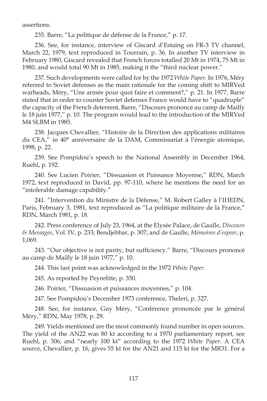assertions.

235. Barre, "La politique de défense de la France," p. 17.

236. See, for instance, interview of Giscard d'Estaing on FR-3 TV channel, March 22, 1979, text reproduced in Tourrain, p. 36. In another TV interview in February 1980, Giscard revealed that French forces totalled 20 Mt in 1974, 75 Mt in 1980, and would total 90 Mt in 1985, making it the "third nuclear power."

237. Such developments were called for by the 1972 *White Paper*. In 1976, Méry referred to Soviet defenses as the main rationale for the coming shift to MIRVed warheads, Méry, "Une armée pour quoi faire et comment?," p. 21. In 1977, Barre stated that in order to counter Soviet defenses France would have to "quadruple" the capacity of the French deterrent, Barre, "Discours prononcé au camp de Mailly le 18 juin 1977," p. 10. The program would lead to the introduction of the MIRVed M4 SLBM in 1985.

238. Jacques Chevallier, "Histoire de la Direction des applications militaires du CEA," in 40° anniversaire de la DAM, Commissariat à l'énergie atomique, 1998, p. 22.

239. See Pompidou's speech to the National Assembly in December 1964, Ruehl, p. 192.

240. See Lucien Poirier, "Dissuasion et Puissance Moyenne," RDN, March 1972, text reproduced in David, pp. 97-110, where he mentions the need for an "intolerable damage capability."

241. "Intervention du Ministre de la Défense," M. Robert Galley à l'IHEDN, Paris, February 3, 1981, text reproduced as "La politique militaire de la France," RDN, March 1981, p. 18.

242. Press conference of July 23, 1964, at the Elysée Palace, de Gaulle, *Discours & Messages*, Vol. IV, p. 233; Bendjebbar, p. 307; and de Gaulle, *Mémoires d'espoir*, p. 1,069.

243. "Our objective is not parity, but sufficiency." Barre, "Discours prononcé au camp de Mailly le 18 juin 1977," p. 10.

244. This last point was acknowledged in the 1972 *White Paper*.

245. As reported by Peyrefitte, p. 350.

246. Poirier, "Dissuasion et puissances moyennes," p. 104.

247. See Pompidou's December 1973 conference, Theleri, p. 327.

248. See, for instance, Guy Méry, "Conférence prononcée par le général Méry," RDN, May 1978, p. 29.

249. Yields mentioned are the most commonly found number in open sources. The yield of the AN22 was 80 kt according to a 1970 parliamentary report, see Ruehl, p. 306, and "nearly 100 kt" according to the 1972 *White Paper*. A CEA source, Chevallier, p. 16, gives 55 kt for the AN21 and 115 kt for the MR31. For a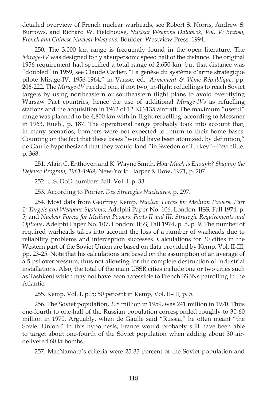detailed overview of French nuclear warheads, see Robert S. Norris, Andrew S. Burrows, and Richard W. Fieldhouse, *Nuclear Weapons Databook, Vol. V: British, French and Chinese Nuclear Weapons*, Boulder: Westview Press, 1994.

250. The 3,000 km range is frequently found in the open literature. The *Mirage-IV* was designed to fly at supersonic speed half of the distance. The original 1956 requirement had specified a total range of 2,650 km, but that distance was "doubled" in 1959, see Claude Carlier, "La genèse du système d'arme stratégique piloté Mirage-IV, 1956-1964," in Vaïsse, ed., *Armement & Vème République*, pp. 206-222. The *Mirage-IV* needed one, if not two, in-flight refuellings to reach Soviet targets by using northeastern or southeastern flight plans to avoid over-flying Warsaw Pact countries; hence the use of additional *Mirage-IVs* as refuelling stations and the acquisition in 1962 of 12 KC-135 aircraft. The maximum "useful" range was planned to be 4,800 km with in-flight refuelling, according to Messmer in 1963, Ruehl, p. 187. The operational range probably took into account that, in many scenarios, bombers were not expected to return to their home bases. Counting on the fact that these bases "would have been atomized, by definition," de Gaulle hypothesized that they would land "in Sweden or Turkey"—Peyrefitte, p. 368.

251. Alain C. Enthoven and K. Wayne Smith, *How Much is Enough? Shaping the Defense Program, 1961-1969*, New-York: Harper & Row, 1971, p. 207.

252. U.S. DoD numbers Ball, Vol. I, p. 33.

253. According to Poirier, *Des Stratégies Nucléaires*, p. 297.

254. Most data from Geoffrey Kemp, *Nuclear Forces for Medium Powers. Part 1: Targets and Weapons Systems*, Adelphi Paper No. 106, London: IISS, Fall 1974, p. 5; and *Nuclear Forces for Medium Powers. Parts II and III: Strategic Requirements and Options*, Adelphi Paper No. 107, London: IISS, Fall 1974, p. 5, p. 9. The number of required warheads takes into account the loss of a number of warheads due to reliability problems and interception successes. Calculations for 30 cities in the Western part of the Soviet Union are based on data provided by Kemp, Vol. II-III, pp. 23-25. Note that his calculations are based on the assumption of an average of a 5 psi overpressure, thus not allowing for the complete destruction of industrial installations. Also, the total of the main USSR cities include one or two cities such as Tashkent which may not have been accessible to French SSBNs patrolling in the Atlantic.

255. Kemp, Vol. I, p. 5; 50 percent in Kemp, Vol. II-III, p. 5.

256. The Soviet population, 208 million in 1959, was 241 million in 1970. Thus one-fourth to one-half of the Russian population corresponded roughly to 30-60 million in 1970. Arguably, when de Gaulle said "Russia," he often meant "the Soviet Union." In this hypothesis, France would probably still have been able to target about one-fourth of the Soviet population when adding about 30 airdelivered 60 kt bombs.

257. MacNamara's criteria were 25-33 percent of the Soviet population and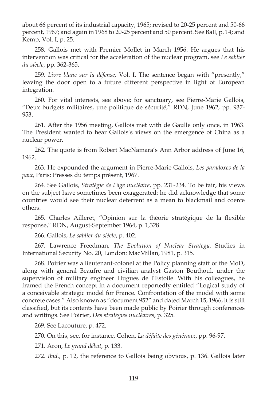about 66 percent of its industrial capacity, 1965; revised to 20-25 percent and 50-66 percent, 1967; and again in 1968 to 20-25 percent and 50 percent. See Ball, p. 14; and Kemp, Vol. I, p. 25.

258. Gallois met with Premier Mollet in March 1956. He argues that his intervention was critical for the acceleration of the nuclear program, see *Le sablier du siècle*, pp. 362-365.

259. *Livre blanc sur la défense,* Vol. I. The sentence began with "presently," leaving the door open to a future different perspective in light of European integration.

260. For vital interests, see above; for sanctuary, see Pierre-Marie Gallois, "Deux budgets militaires, une politique de sécurité," RDN, June 1962, pp. 937- 953.

261. After the 1956 meeting, Gallois met with de Gaulle only once, in 1963. The President wanted to hear Gallois's views on the emergence of China as a nuclear power.

262. The quote is from Robert MacNamara's Ann Arbor address of June 16, 1962.

263. He expounded the argument in Pierre-Marie Gallois, *Les paradoxes de la paix*, Paris: Presses du temps présent, 1967.

264. See Gallois, *Stratégie de l'âge nucléaire*, pp. 231-234. To be fair, his views on the subject have sometimes been exaggerated: he did acknowledge that some countries would see their nuclear deterrent as a mean to blackmail and coerce others.

265. Charles Ailleret, "Opinion sur la théorie stratégique de la flexible response," RDN, August-September 1964, p. 1,328.

266. Gallois, *Le sablier du siècle*, p. 402.

267. Lawrence Freedman, *The Evolution of Nuclear Strategy*, Studies in International Security No. 20, London: MacMillan, 1981, p. 315.

268. Poirier was a lieutenant-colonel at the Policy planning staff of the MoD, along with general Beaufre and civilian analyst Gaston Bouthoul, under the supervision of military engineer Hugues de l'Estoile. With his colleagues, he framed the French concept in a document reportedly entitled "Logical study of a conceivable strategic model for France. Confrontation of the model with some concrete cases." Also known as "document 952" and dated March 15, 1966, it is still classified, but its contents have been made public by Poirier through conferences and writings. See Poirier, *Des stratégies nucléaires*, p. 325.

269. See Lacouture, p. 472.

270. On this, see, for instance, Cohen, *La défaite des généraux*, pp. 96-97.

271. Aron, *Le grand débat*, p. 133.

272. *Ibid*., p. 12, the reference to Gallois being obvious, p. 136. Gallois later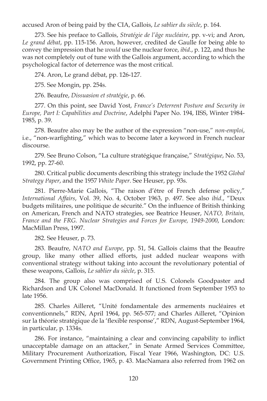accused Aron of being paid by the CIA, Gallois, *Le sablier du siècle*, p. 164.

273. See his preface to Gallois, *Stratégie de l'âge nucléaire*, pp. v-vi; and Aron, *Le grand débat*, pp. 115-156. Aron, however, credited de Gaulle for being able to convey the impression that he *would* use the nuclear force, *ibid*., p. 122, and thus he was not completely out of tune with the Gallois argument, according to which the psychological factor of deterrence was the most critical.

274. Aron, Le grand débat, pp. 126-127.

275. See Mongin, pp. 254s.

276. Beaufre, *Dissuasion et stratégie*, p. 66.

277. On this point, see David Yost, *France's Deterrent Posture and Security in Europe, Part I: Capabilities and Doctrine*, Adelphi Paper No. 194, IISS, Winter 1984- 1985, p. 39.

278. Beaufre also may be the author of the expression "non-use," *non-emploi*, i.e., "non-warfighting," which was to become later a keyword in French nuclear discourse.

279. See Bruno Colson, "La culture stratégique française," *Stratégique*, No. 53, 1992, pp. 27-60.

280. Critical public documents describing this strategy include the 1952 *Global Strategy Paper*, and the 1957 *White Paper*. See Heuser, pp. 93s.

281. Pierre-Marie Gallois, "The raison d'être of French defense policy," *International Affairs*, Vol. 39, No. 4, October 1963, p. 497. See also *ibid*., "Deux budgets militaires, une politique de sécurité." On the influence of British thinking on American, French and NATO strategies, see Beatrice Heuser, *NATO, Britain, France and the FRG. Nuclear Strategies and Forces for Europe, 1949-2000*, London: MacMillan Press, 1997.

282. See Heuser, p. 73.

283. Beaufre, *NATO and Europe*, pp. 51, 54. Gallois claims that the Beaufre group, like many other allied efforts, just added nuclear weapons with conventional strategy without taking into account the revolutionary potential of these weapons, Gallois, *Le sablier du siècle*, p. 315.

284. The group also was comprised of U.S. Colonels Goodpaster and Richardson and UK Colonel MacDonald. It functioned from September 1953 to late 1956.

285. Charles Ailleret, "Unité fondamentale des armements nucléaires et conventionnels," RDN, April 1964, pp. 565-577; and Charles Ailleret, "Opinion sur la théorie stratégique de la 'flexible response'," RDN, August-September 1964, in particular, p. 1334s.

286. For instance, "maintaining a clear and convincing capability to inflict unacceptable damage on an attacker," in Senate Armed Services Committee, Military Procurement Authorization, Fiscal Year 1966, Washington, DC: U.S. Government Printing Office, 1965, p. 43. MacNamara also referred from 1962 on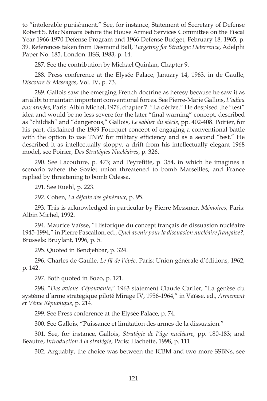to "intolerable punishment." See, for instance, Statement of Secretary of Defense Robert S. MacNamara before the House Armed Services Committee on the Fiscal Year 1966-1970 Defense Program and 1966 Defense Budget, February 18, 1965, p. 39. References taken from Desmond Ball, *Targeting for Strategic Deterrence*, Adelphi Paper No. 185, London: IISS, 1983, p. 14.

287. See the contribution by Michael Quinlan, Chapter 9.

288. Press conference at the Elysée Palace, January 14, 1963, in de Gaulle, *Discours & Messages*, Vol. IV, p. 73.

289. Gallois saw the emerging French doctrine as heresy because he saw it as an alibi to maintain important conventional forces. See Pierre-Marie Gallois, *L'adieu aux armées*, Paris: Albin Michel, 1976, chapter 7: "La dérive." He despised the "test" idea and would be no less severe for the later "final warning" concept, described as "childish" and "dangerous," Gallois, *Le sablier du siècle*, pp. 402-408. Poirier, for his part, disdained the 1969 Fourquet concept of engaging a conventional battle with the option to use TNW for military efficiency and as a second "test." He described it as intellectually sloppy, a drift from his intellectually elegant 1968 model, see Poirier, *Des Stratégies Nucléaires*, p. 326.

290. See Lacouture, p. 473; and Peyrefitte, p. 354, in which he imagines a scenario where the Soviet union threatened to bomb Marseilles, and France replied by threatening to bomb Odessa.

291. See Ruehl, p. 223.

292. Cohen, *La défaite des généraux*, p. 95.

293. This is acknowledged in particular by Pierre Messmer, *Mémoires*, Paris: Albin Michel, 1992.

294. Maurice Vaïsse, "Historique du concept français de dissuasion nucléaire 1945-1994," in Pierre Pascallon, ed., *Quel avenir pour la dissuasion nucléaire française?*, Brussels: Bruylant, 1996, p. 5.

295. Quoted in Bendjebbar, p. 324.

296. Charles de Gaulle, *Le fi l de l'épée*, Paris: Union générale d'éditions, 1962, p. 142.

297. Both quoted in Bozo, p. 121.

298. "*Des avions d'épouvante*," 1963 statement Claude Carlier, "La genèse du système d'arme stratégique piloté Mirage IV, 1956-1964," in Vaïsse, ed., *Armement et Vème République*, p. 214.

299. See Press conference at the Elysée Palace, p. 74.

300. See Gallois, "Puissance et limitation des armes de la dissuasion."

301. See, for instance, Gallois, *Stratégie de l'âge nucléaire*, pp. 180-183; and Beaufre, *Introduction à la stratégie*, Paris: Hachette, 1998, p. 111.

302. Arguably, the choice was between the ICBM and two more SSBNs, see